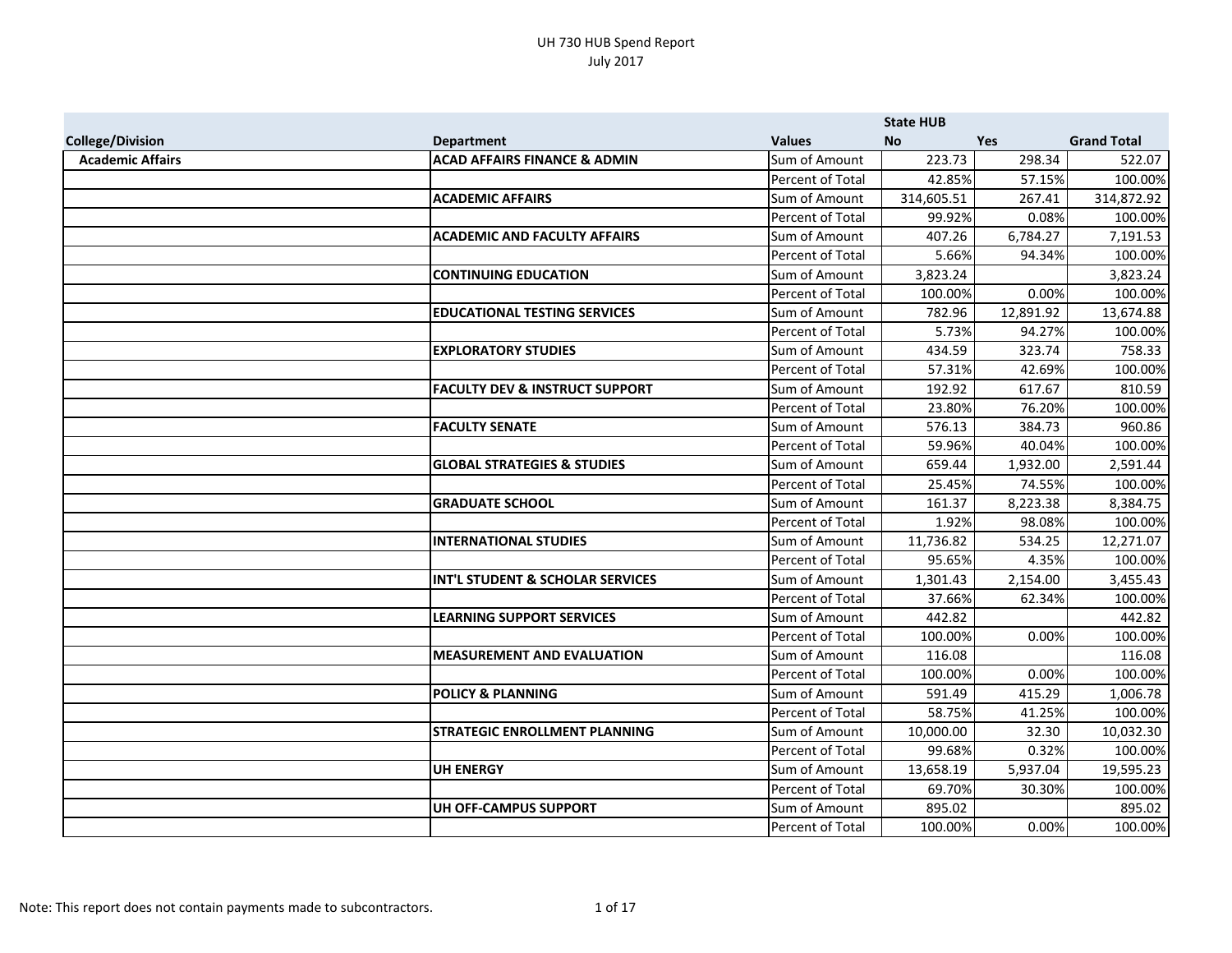|                         |                                           |                  | <b>State HUB</b> |            |                    |
|-------------------------|-------------------------------------------|------------------|------------------|------------|--------------------|
| <b>College/Division</b> | <b>Department</b>                         | <b>Values</b>    | <b>No</b>        | <b>Yes</b> | <b>Grand Total</b> |
| <b>Academic Affairs</b> | <b>ACAD AFFAIRS FINANCE &amp; ADMIN</b>   | Sum of Amount    | 223.73           | 298.34     | 522.07             |
|                         |                                           | Percent of Total | 42.85%           | 57.15%     | 100.00%            |
|                         | <b>ACADEMIC AFFAIRS</b>                   | Sum of Amount    | 314,605.51       | 267.41     | 314,872.92         |
|                         |                                           | Percent of Total | 99.92%           | 0.08%      | 100.00%            |
|                         | <b>ACADEMIC AND FACULTY AFFAIRS</b>       | Sum of Amount    | 407.26           | 6,784.27   | 7,191.53           |
|                         |                                           | Percent of Total | 5.66%            | 94.34%     | 100.00%            |
|                         | <b>CONTINUING EDUCATION</b>               | Sum of Amount    | 3,823.24         |            | 3,823.24           |
|                         |                                           | Percent of Total | 100.00%          | 0.00%      | 100.00%            |
|                         | <b>EDUCATIONAL TESTING SERVICES</b>       | Sum of Amount    | 782.96           | 12,891.92  | 13,674.88          |
|                         |                                           | Percent of Total | 5.73%            | 94.27%     | 100.00%            |
|                         | <b>EXPLORATORY STUDIES</b>                | Sum of Amount    | 434.59           | 323.74     | 758.33             |
|                         |                                           | Percent of Total | 57.31%           | 42.69%     | 100.00%            |
|                         | <b>FACULTY DEV &amp; INSTRUCT SUPPORT</b> | Sum of Amount    | 192.92           | 617.67     | 810.59             |
|                         |                                           | Percent of Total | 23.80%           | 76.20%     | 100.00%            |
|                         | <b>FACULTY SENATE</b>                     | Sum of Amount    | 576.13           | 384.73     | 960.86             |
|                         |                                           | Percent of Total | 59.96%           | 40.04%     | 100.00%            |
|                         | <b>GLOBAL STRATEGIES &amp; STUDIES</b>    | Sum of Amount    | 659.44           | 1,932.00   | 2,591.44           |
|                         |                                           | Percent of Total | 25.45%           | 74.55%     | 100.00%            |
|                         | <b>GRADUATE SCHOOL</b>                    | Sum of Amount    | 161.37           | 8,223.38   | 8,384.75           |
|                         |                                           | Percent of Total | 1.92%            | 98.08%     | 100.00%            |
|                         | <b>INTERNATIONAL STUDIES</b>              | Sum of Amount    | 11,736.82        | 534.25     | 12,271.07          |
|                         |                                           | Percent of Total | 95.65%           | 4.35%      | 100.00%            |
|                         | INT'L STUDENT & SCHOLAR SERVICES          | Sum of Amount    | 1,301.43         | 2,154.00   | 3,455.43           |
|                         |                                           | Percent of Total | 37.66%           | 62.34%     | 100.00%            |
|                         | <b>LEARNING SUPPORT SERVICES</b>          | Sum of Amount    | 442.82           |            | 442.82             |
|                         |                                           | Percent of Total | 100.00%          | 0.00%      | 100.00%            |
|                         | <b>MEASUREMENT AND EVALUATION</b>         | Sum of Amount    | 116.08           |            | 116.08             |
|                         |                                           | Percent of Total | 100.00%          | 0.00%      | 100.00%            |
|                         | <b>POLICY &amp; PLANNING</b>              | Sum of Amount    | 591.49           | 415.29     | 1,006.78           |
|                         |                                           | Percent of Total | 58.75%           | 41.25%     | 100.00%            |
|                         | <b>STRATEGIC ENROLLMENT PLANNING</b>      | Sum of Amount    | 10,000.00        | 32.30      | 10,032.30          |
|                         |                                           | Percent of Total | 99.68%           | 0.32%      | 100.00%            |
|                         | <b>UH ENERGY</b>                          | Sum of Amount    | 13,658.19        | 5,937.04   | 19,595.23          |
|                         |                                           | Percent of Total | 69.70%           | 30.30%     | 100.00%            |
|                         | UH OFF-CAMPUS SUPPORT                     | Sum of Amount    | 895.02           |            | 895.02             |
|                         |                                           | Percent of Total | 100.00%          | 0.00%      | 100.00%            |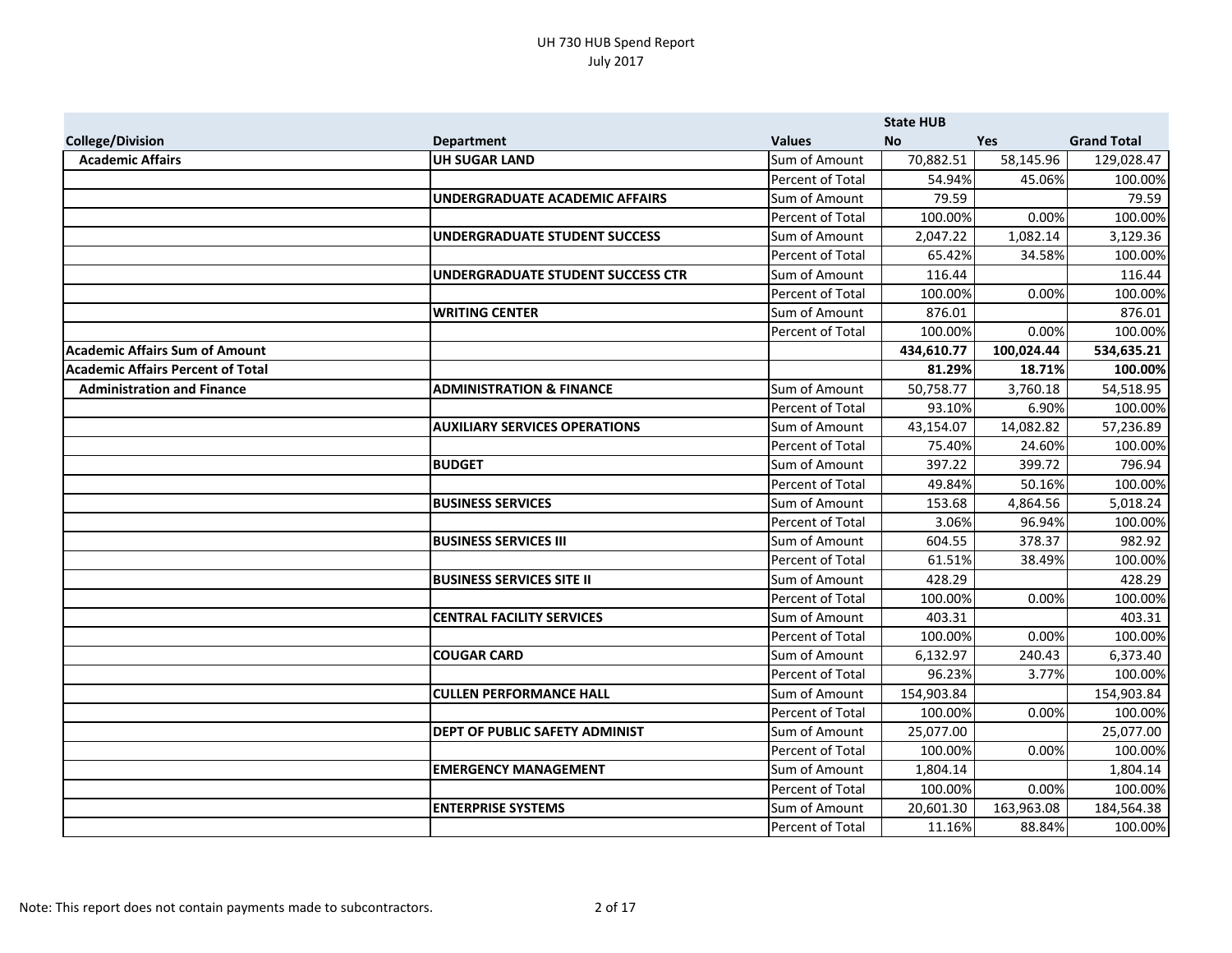|                                          |                                       |                         | <b>State HUB</b> |            |                    |
|------------------------------------------|---------------------------------------|-------------------------|------------------|------------|--------------------|
| <b>College/Division</b>                  | <b>Department</b>                     | <b>Values</b>           | <b>No</b>        | <b>Yes</b> | <b>Grand Total</b> |
| <b>Academic Affairs</b>                  | <b>UH SUGAR LAND</b>                  | Sum of Amount           | 70,882.51        | 58,145.96  | 129,028.47         |
|                                          |                                       | Percent of Total        | 54.94%           | 45.06%     | 100.00%            |
|                                          | <b>UNDERGRADUATE ACADEMIC AFFAIRS</b> | Sum of Amount           | 79.59            |            | 79.59              |
|                                          |                                       | Percent of Total        | 100.00%          | 0.00%      | 100.00%            |
|                                          | UNDERGRADUATE STUDENT SUCCESS         | Sum of Amount           | 2,047.22         | 1,082.14   | 3,129.36           |
|                                          |                                       | <b>Percent of Total</b> | 65.42%           | 34.58%     | 100.00%            |
|                                          | UNDERGRADUATE STUDENT SUCCESS CTR     | Sum of Amount           | 116.44           |            | 116.44             |
|                                          |                                       | Percent of Total        | 100.00%          | 0.00%      | 100.00%            |
|                                          | <b>WRITING CENTER</b>                 | Sum of Amount           | 876.01           |            | 876.01             |
|                                          |                                       | Percent of Total        | 100.00%          | 0.00%      | 100.00%            |
| <b>Academic Affairs Sum of Amount</b>    |                                       |                         | 434,610.77       | 100,024.44 | 534,635.21         |
| <b>Academic Affairs Percent of Total</b> |                                       |                         | 81.29%           | 18.71%     | 100.00%            |
| <b>Administration and Finance</b>        | <b>ADMINISTRATION &amp; FINANCE</b>   | Sum of Amount           | 50,758.77        | 3,760.18   | 54,518.95          |
|                                          |                                       | Percent of Total        | 93.10%           | 6.90%      | 100.00%            |
|                                          | <b>AUXILIARY SERVICES OPERATIONS</b>  | Sum of Amount           | 43,154.07        | 14,082.82  | 57,236.89          |
|                                          |                                       | Percent of Total        | 75.40%           | 24.60%     | 100.00%            |
|                                          | <b>BUDGET</b>                         | Sum of Amount           | 397.22           | 399.72     | 796.94             |
|                                          |                                       | Percent of Total        | 49.84%           | 50.16%     | 100.00%            |
|                                          | <b>BUSINESS SERVICES</b>              | Sum of Amount           | 153.68           | 4,864.56   | 5,018.24           |
|                                          |                                       | Percent of Total        | 3.06%            | 96.94%     | 100.00%            |
|                                          | <b>BUSINESS SERVICES III</b>          | Sum of Amount           | 604.55           | 378.37     | 982.92             |
|                                          |                                       | Percent of Total        | 61.51%           | 38.49%     | 100.00%            |
|                                          | <b>BUSINESS SERVICES SITE II</b>      | Sum of Amount           | 428.29           |            | 428.29             |
|                                          |                                       | Percent of Total        | 100.00%          | 0.00%      | 100.00%            |
|                                          | <b>CENTRAL FACILITY SERVICES</b>      | Sum of Amount           | 403.31           |            | 403.31             |
|                                          |                                       | Percent of Total        | 100.00%          | 0.00%      | 100.00%            |
|                                          | <b>COUGAR CARD</b>                    | Sum of Amount           | 6,132.97         | 240.43     | 6,373.40           |
|                                          |                                       | Percent of Total        | 96.23%           | 3.77%      | 100.00%            |
|                                          | <b>CULLEN PERFORMANCE HALL</b>        | Sum of Amount           | 154,903.84       |            | 154,903.84         |
|                                          |                                       | Percent of Total        | 100.00%          | 0.00%      | 100.00%            |
|                                          | DEPT OF PUBLIC SAFETY ADMINIST        | Sum of Amount           | 25,077.00        |            | 25,077.00          |
|                                          |                                       | Percent of Total        | 100.00%          | 0.00%      | 100.00%            |
|                                          | <b>EMERGENCY MANAGEMENT</b>           | Sum of Amount           | 1,804.14         |            | 1,804.14           |
|                                          |                                       | Percent of Total        | 100.00%          | 0.00%      | 100.00%            |
|                                          | <b>ENTERPRISE SYSTEMS</b>             | Sum of Amount           | 20,601.30        | 163,963.08 | 184,564.38         |
|                                          |                                       | Percent of Total        | 11.16%           | 88.84%     | 100.00%            |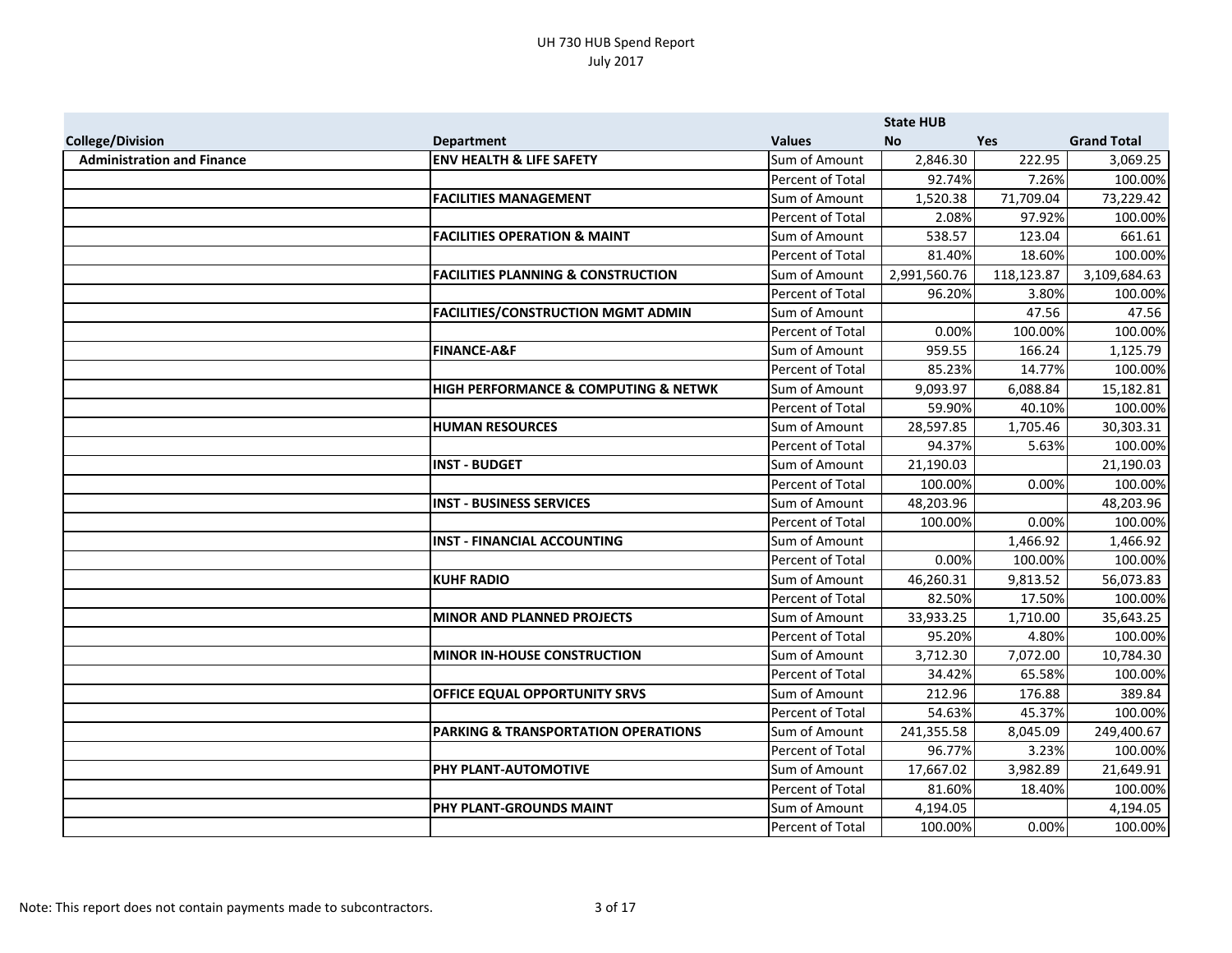|                                   |                                                     |                         | <b>State HUB</b> |            |                    |
|-----------------------------------|-----------------------------------------------------|-------------------------|------------------|------------|--------------------|
| <b>College/Division</b>           | <b>Department</b>                                   | <b>Values</b>           | <b>No</b>        | <b>Yes</b> | <b>Grand Total</b> |
| <b>Administration and Finance</b> | <b>ENV HEALTH &amp; LIFE SAFETY</b>                 | Sum of Amount           | 2,846.30         | 222.95     | 3,069.25           |
|                                   |                                                     | Percent of Total        | 92.74%           | 7.26%      | 100.00%            |
|                                   | <b>FACILITIES MANAGEMENT</b>                        | Sum of Amount           | 1,520.38         | 71,709.04  | 73,229.42          |
|                                   |                                                     | Percent of Total        | 2.08%            | 97.92%     | 100.00%            |
|                                   | <b>FACILITIES OPERATION &amp; MAINT</b>             | Sum of Amount           | 538.57           | 123.04     | 661.61             |
|                                   |                                                     | <b>Percent of Total</b> | 81.40%           | 18.60%     | 100.00%            |
|                                   | <b>FACILITIES PLANNING &amp; CONSTRUCTION</b>       | Sum of Amount           | 2,991,560.76     | 118,123.87 | 3,109,684.63       |
|                                   |                                                     | Percent of Total        | 96.20%           | 3.80%      | 100.00%            |
|                                   | <b>FACILITIES/CONSTRUCTION MGMT ADMIN</b>           | Sum of Amount           |                  | 47.56      | 47.56              |
|                                   |                                                     | Percent of Total        | 0.00%            | 100.00%    | 100.00%            |
|                                   | <b>FINANCE-A&amp;F</b>                              | Sum of Amount           | 959.55           | 166.24     | 1,125.79           |
|                                   |                                                     | Percent of Total        | 85.23%           | 14.77%     | 100.00%            |
|                                   | <b>HIGH PERFORMANCE &amp; COMPUTING &amp; NETWK</b> | Sum of Amount           | 9,093.97         | 6,088.84   | 15,182.81          |
|                                   |                                                     | Percent of Total        | 59.90%           | 40.10%     | 100.00%            |
|                                   | <b>HUMAN RESOURCES</b>                              | Sum of Amount           | 28,597.85        | 1,705.46   | 30,303.31          |
|                                   |                                                     | <b>Percent of Total</b> | 94.37%           | 5.63%      | 100.00%            |
|                                   | <b>INST - BUDGET</b>                                | Sum of Amount           | 21,190.03        |            | 21,190.03          |
|                                   |                                                     | Percent of Total        | 100.00%          | 0.00%      | 100.00%            |
|                                   | <b>INST - BUSINESS SERVICES</b>                     | Sum of Amount           | 48,203.96        |            | 48,203.96          |
|                                   |                                                     | Percent of Total        | 100.00%          | 0.00%      | 100.00%            |
|                                   | <b>INST - FINANCIAL ACCOUNTING</b>                  | Sum of Amount           |                  | 1,466.92   | 1,466.92           |
|                                   |                                                     | Percent of Total        | 0.00%            | 100.00%    | 100.00%            |
|                                   | <b>KUHF RADIO</b>                                   | Sum of Amount           | 46,260.31        | 9,813.52   | 56,073.83          |
|                                   |                                                     | Percent of Total        | 82.50%           | 17.50%     | 100.00%            |
|                                   | <b>MINOR AND PLANNED PROJECTS</b>                   | Sum of Amount           | 33,933.25        | 1,710.00   | 35,643.25          |
|                                   |                                                     | Percent of Total        | 95.20%           | 4.80%      | 100.00%            |
|                                   | <b>MINOR IN-HOUSE CONSTRUCTION</b>                  | Sum of Amount           | 3,712.30         | 7,072.00   | 10,784.30          |
|                                   |                                                     | Percent of Total        | 34.42%           | 65.58%     | 100.00%            |
|                                   | OFFICE EQUAL OPPORTUNITY SRVS                       | Sum of Amount           | 212.96           | 176.88     | 389.84             |
|                                   |                                                     | Percent of Total        | 54.63%           | 45.37%     | 100.00%            |
|                                   | PARKING & TRANSPORTATION OPERATIONS                 | Sum of Amount           | 241,355.58       | 8,045.09   | 249,400.67         |
|                                   |                                                     | Percent of Total        | 96.77%           | 3.23%      | 100.00%            |
|                                   | PHY PLANT-AUTOMOTIVE                                | Sum of Amount           | 17,667.02        | 3,982.89   | 21,649.91          |
|                                   |                                                     | Percent of Total        | 81.60%           | 18.40%     | 100.00%            |
|                                   | PHY PLANT-GROUNDS MAINT                             | Sum of Amount           | 4,194.05         |            | 4,194.05           |
|                                   |                                                     | Percent of Total        | 100.00%          | 0.00%      | 100.00%            |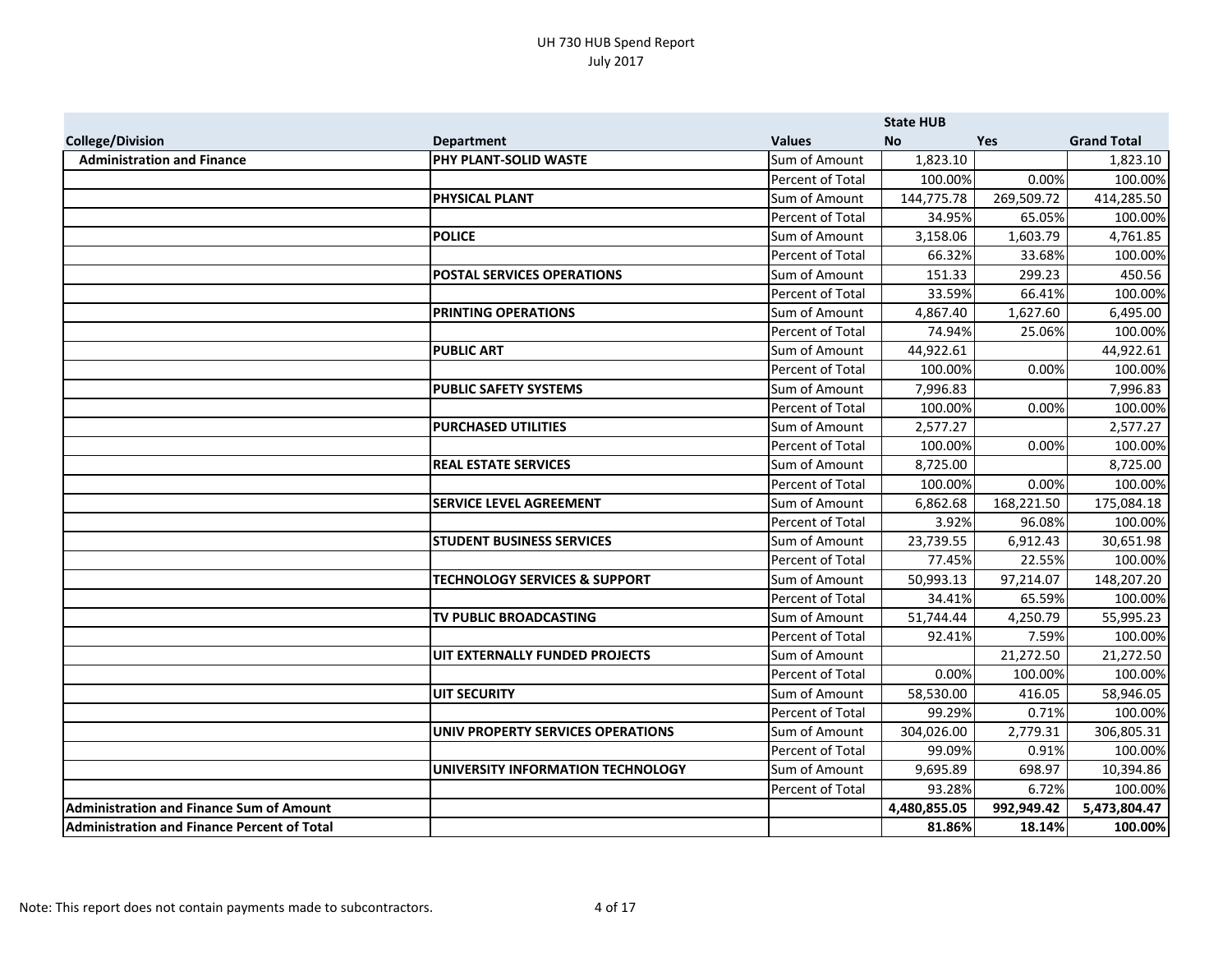|                                                    |                                          |                  | <b>State HUB</b> |            |                    |
|----------------------------------------------------|------------------------------------------|------------------|------------------|------------|--------------------|
| <b>College/Division</b>                            | <b>Department</b>                        | <b>Values</b>    | <b>No</b>        | Yes        | <b>Grand Total</b> |
| <b>Administration and Finance</b>                  | PHY PLANT-SOLID WASTE                    | Sum of Amount    | 1,823.10         |            | 1,823.10           |
|                                                    |                                          | Percent of Total | 100.00%          | 0.00%      | 100.00%            |
|                                                    | <b>PHYSICAL PLANT</b>                    | Sum of Amount    | 144,775.78       | 269,509.72 | 414,285.50         |
|                                                    |                                          | Percent of Total | 34.95%           | 65.05%     | 100.00%            |
|                                                    | <b>POLICE</b>                            | Sum of Amount    | 3,158.06         | 1,603.79   | 4,761.85           |
|                                                    |                                          | Percent of Total | 66.32%           | 33.68%     | 100.00%            |
|                                                    | <b>POSTAL SERVICES OPERATIONS</b>        | Sum of Amount    | 151.33           | 299.23     | 450.56             |
|                                                    |                                          | Percent of Total | 33.59%           | 66.41%     | 100.00%            |
|                                                    | PRINTING OPERATIONS                      | Sum of Amount    | 4,867.40         | 1,627.60   | 6,495.00           |
|                                                    |                                          | Percent of Total | 74.94%           | 25.06%     | 100.00%            |
|                                                    | <b>PUBLIC ART</b>                        | Sum of Amount    | 44,922.61        |            | 44,922.61          |
|                                                    |                                          | Percent of Total | 100.00%          | 0.00%      | 100.00%            |
|                                                    | <b>PUBLIC SAFETY SYSTEMS</b>             | Sum of Amount    | 7,996.83         |            | 7,996.83           |
|                                                    |                                          | Percent of Total | 100.00%          | 0.00%      | 100.00%            |
|                                                    | <b>PURCHASED UTILITIES</b>               | Sum of Amount    | 2,577.27         |            | 2,577.27           |
|                                                    |                                          | Percent of Total | 100.00%          | 0.00%      | 100.00%            |
|                                                    | <b>REAL ESTATE SERVICES</b>              | Sum of Amount    | 8,725.00         |            | 8,725.00           |
|                                                    |                                          | Percent of Total | 100.00%          | 0.00%      | 100.00%            |
|                                                    | <b>SERVICE LEVEL AGREEMENT</b>           | Sum of Amount    | 6,862.68         | 168,221.50 | 175,084.18         |
|                                                    |                                          | Percent of Total | 3.92%            | 96.08%     | 100.00%            |
|                                                    | <b>STUDENT BUSINESS SERVICES</b>         | Sum of Amount    | 23,739.55        | 6,912.43   | 30,651.98          |
|                                                    |                                          | Percent of Total | 77.45%           | 22.55%     | 100.00%            |
|                                                    | <b>TECHNOLOGY SERVICES &amp; SUPPORT</b> | Sum of Amount    | 50,993.13        | 97,214.07  | 148,207.20         |
|                                                    |                                          | Percent of Total | 34.41%           | 65.59%     | 100.00%            |
|                                                    | TV PUBLIC BROADCASTING                   | Sum of Amount    | 51,744.44        | 4,250.79   | 55,995.23          |
|                                                    |                                          | Percent of Total | 92.41%           | 7.59%      | 100.00%            |
|                                                    | UIT EXTERNALLY FUNDED PROJECTS           | Sum of Amount    |                  | 21,272.50  | 21,272.50          |
|                                                    |                                          | Percent of Total | 0.00%            | 100.00%    | 100.00%            |
|                                                    | <b>UIT SECURITY</b>                      | Sum of Amount    | 58,530.00        | 416.05     | 58,946.05          |
|                                                    |                                          | Percent of Total | 99.29%           | 0.71%      | 100.00%            |
|                                                    | UNIV PROPERTY SERVICES OPERATIONS        | Sum of Amount    | 304,026.00       | 2,779.31   | 306,805.31         |
|                                                    |                                          | Percent of Total | 99.09%           | 0.91%      | 100.00%            |
|                                                    | UNIVERSITY INFORMATION TECHNOLOGY        | Sum of Amount    | 9,695.89         | 698.97     | 10,394.86          |
|                                                    |                                          | Percent of Total | 93.28%           | 6.72%      | 100.00%            |
| Administration and Finance Sum of Amount           |                                          |                  | 4,480,855.05     | 992,949.42 | 5,473,804.47       |
| <b>Administration and Finance Percent of Total</b> |                                          |                  | 81.86%           | 18.14%     | 100.00%            |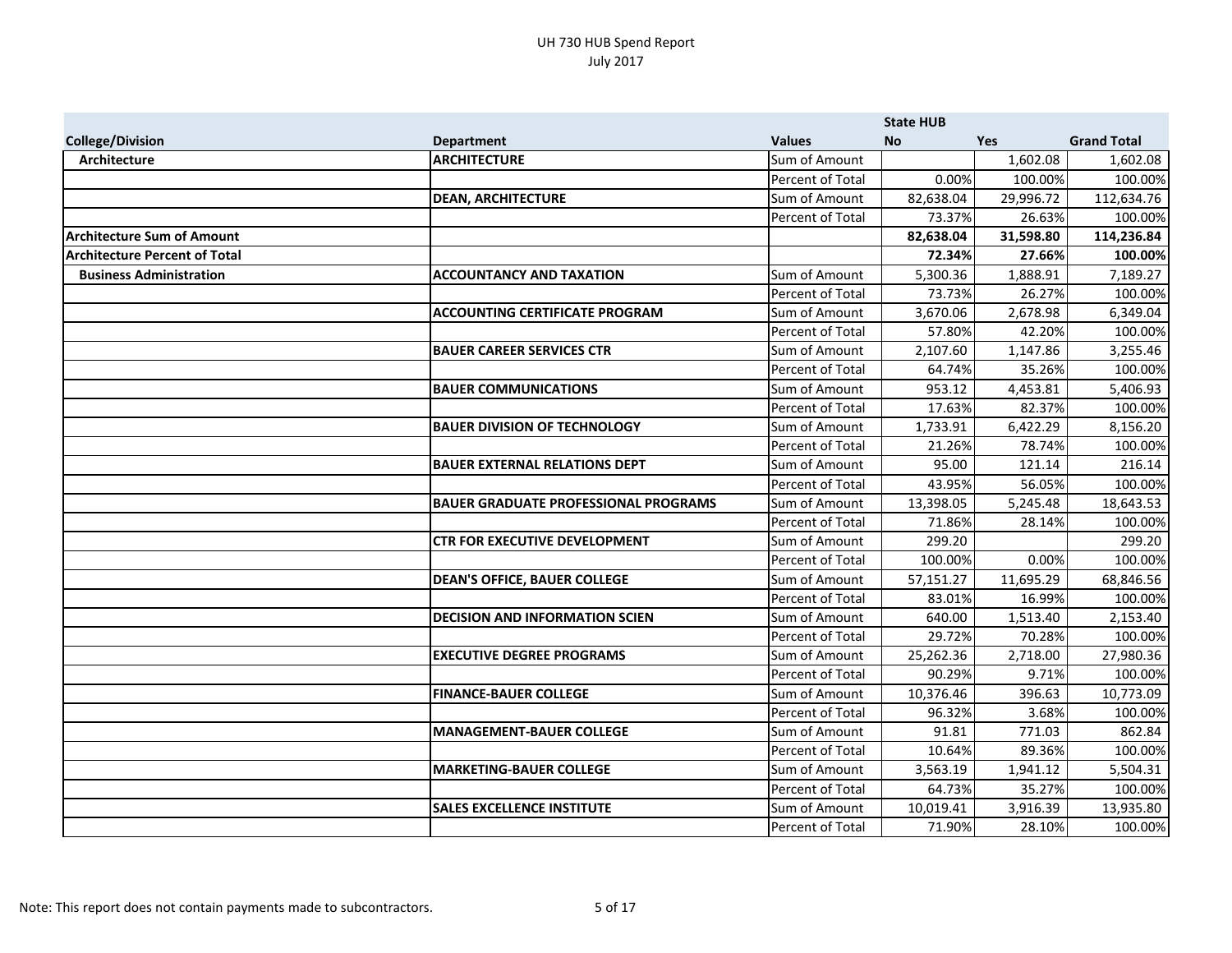|                                      |                                             |                  | <b>State HUB</b> |            |                    |
|--------------------------------------|---------------------------------------------|------------------|------------------|------------|--------------------|
| <b>College/Division</b>              | <b>Department</b>                           | <b>Values</b>    | <b>No</b>        | <b>Yes</b> | <b>Grand Total</b> |
| Architecture                         | <b>ARCHITECTURE</b>                         | Sum of Amount    |                  | 1,602.08   | 1,602.08           |
|                                      |                                             | Percent of Total | 0.00%            | 100.00%    | 100.00%            |
|                                      | <b>DEAN, ARCHITECTURE</b>                   | Sum of Amount    | 82,638.04        | 29,996.72  | 112,634.76         |
|                                      |                                             | Percent of Total | 73.37%           | 26.63%     | 100.00%            |
| <b>Architecture Sum of Amount</b>    |                                             |                  | 82,638.04        | 31,598.80  | 114,236.84         |
| <b>Architecture Percent of Total</b> |                                             |                  | 72.34%           | 27.66%     | 100.00%            |
| <b>Business Administration</b>       | <b>ACCOUNTANCY AND TAXATION</b>             | Sum of Amount    | 5,300.36         | 1,888.91   | 7,189.27           |
|                                      |                                             | Percent of Total | 73.73%           | 26.27%     | 100.00%            |
|                                      | <b>ACCOUNTING CERTIFICATE PROGRAM</b>       | Sum of Amount    | 3,670.06         | 2,678.98   | 6,349.04           |
|                                      |                                             | Percent of Total | 57.80%           | 42.20%     | 100.00%            |
|                                      | <b>BAUER CAREER SERVICES CTR</b>            | Sum of Amount    | 2,107.60         | 1,147.86   | 3,255.46           |
|                                      |                                             | Percent of Total | 64.74%           | 35.26%     | 100.00%            |
|                                      | <b>BAUER COMMUNICATIONS</b>                 | Sum of Amount    | 953.12           | 4,453.81   | 5,406.93           |
|                                      |                                             | Percent of Total | 17.63%           | 82.37%     | 100.00%            |
|                                      | <b>BAUER DIVISION OF TECHNOLOGY</b>         | Sum of Amount    | 1,733.91         | 6,422.29   | 8,156.20           |
|                                      |                                             | Percent of Total | 21.26%           | 78.74%     | 100.00%            |
|                                      | <b>BAUER EXTERNAL RELATIONS DEPT</b>        | Sum of Amount    | 95.00            | 121.14     | 216.14             |
|                                      |                                             | Percent of Total | 43.95%           | 56.05%     | 100.00%            |
|                                      | <b>BAUER GRADUATE PROFESSIONAL PROGRAMS</b> | Sum of Amount    | 13,398.05        | 5,245.48   | 18,643.53          |
|                                      |                                             | Percent of Total | 71.86%           | 28.14%     | 100.00%            |
|                                      | <b>CTR FOR EXECUTIVE DEVELOPMENT</b>        | Sum of Amount    | 299.20           |            | 299.20             |
|                                      |                                             | Percent of Total | 100.00%          | 0.00%      | 100.00%            |
|                                      | <b>DEAN'S OFFICE, BAUER COLLEGE</b>         | Sum of Amount    | 57,151.27        | 11,695.29  | 68,846.56          |
|                                      |                                             | Percent of Total | 83.01%           | 16.99%     | 100.00%            |
|                                      | <b>DECISION AND INFORMATION SCIEN</b>       | Sum of Amount    | 640.00           | 1,513.40   | 2,153.40           |
|                                      |                                             | Percent of Total | 29.72%           | 70.28%     | 100.00%            |
|                                      | <b>EXECUTIVE DEGREE PROGRAMS</b>            | Sum of Amount    | 25,262.36        | 2,718.00   | 27,980.36          |
|                                      |                                             | Percent of Total | 90.29%           | 9.71%      | 100.00%            |
|                                      | <b>FINANCE-BAUER COLLEGE</b>                | Sum of Amount    | 10,376.46        | 396.63     | 10,773.09          |
|                                      |                                             | Percent of Total | 96.32%           | 3.68%      | 100.00%            |
|                                      | <b>MANAGEMENT-BAUER COLLEGE</b>             | Sum of Amount    | 91.81            | 771.03     | 862.84             |
|                                      |                                             | Percent of Total | 10.64%           | 89.36%     | 100.00%            |
|                                      | <b>MARKETING-BAUER COLLEGE</b>              | Sum of Amount    | 3,563.19         | 1,941.12   | 5,504.31           |
|                                      |                                             | Percent of Total | 64.73%           | 35.27%     | 100.00%            |
|                                      | <b>SALES EXCELLENCE INSTITUTE</b>           | Sum of Amount    | 10,019.41        | 3,916.39   | 13,935.80          |
|                                      |                                             | Percent of Total | 71.90%           | 28.10%     | 100.00%            |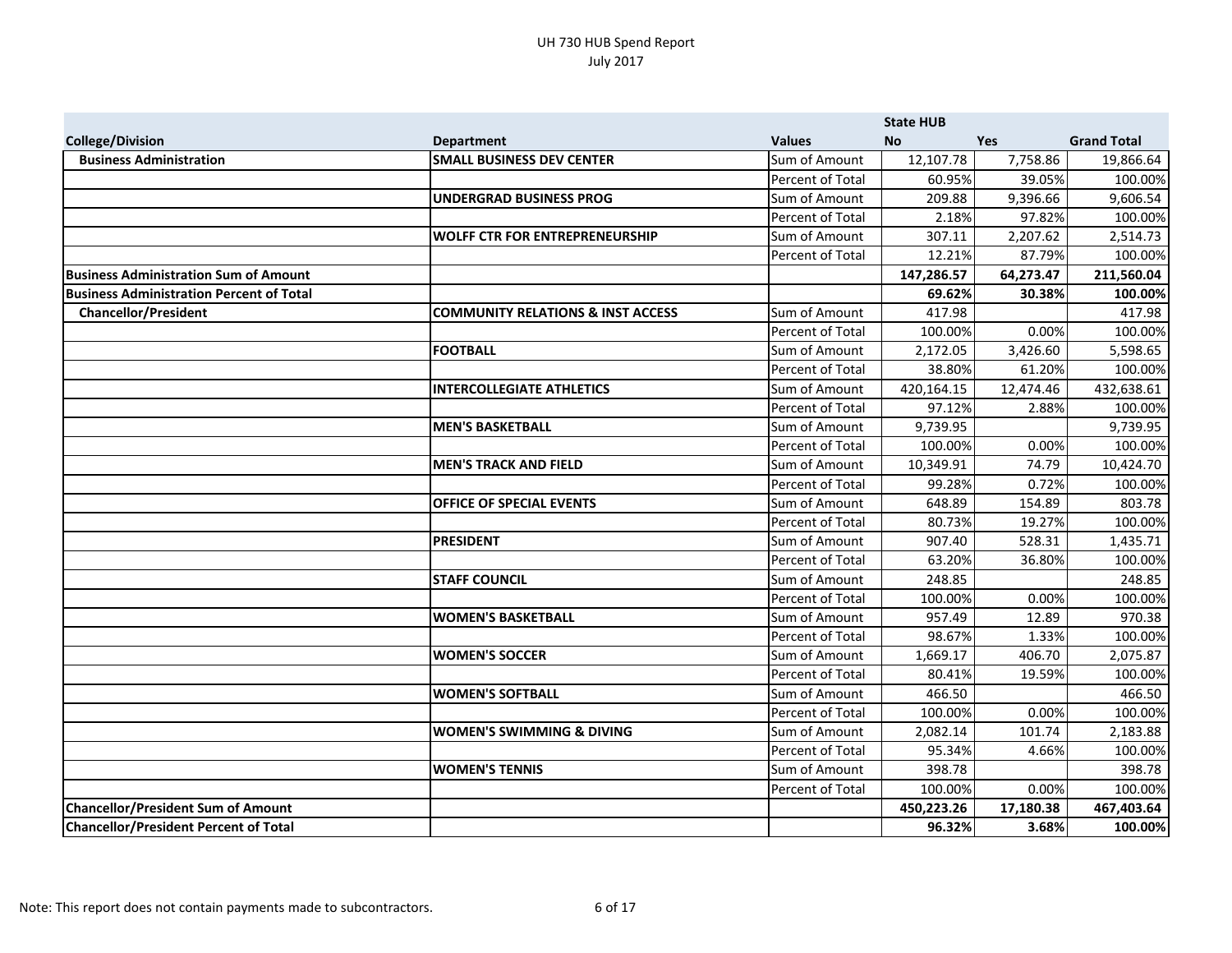|                                                 |                                              |                         | <b>State HUB</b> |            |                    |
|-------------------------------------------------|----------------------------------------------|-------------------------|------------------|------------|--------------------|
| <b>College/Division</b>                         | <b>Department</b>                            | <b>Values</b>           | <b>No</b>        | <b>Yes</b> | <b>Grand Total</b> |
| <b>Business Administration</b>                  | <b>SMALL BUSINESS DEV CENTER</b>             | Sum of Amount           | 12,107.78        | 7,758.86   | 19,866.64          |
|                                                 |                                              | Percent of Total        | 60.95%           | 39.05%     | 100.00%            |
|                                                 | <b>UNDERGRAD BUSINESS PROG</b>               | Sum of Amount           | 209.88           | 9,396.66   | 9,606.54           |
|                                                 |                                              | Percent of Total        | 2.18%            | 97.82%     | 100.00%            |
|                                                 | <b>WOLFF CTR FOR ENTREPRENEURSHIP</b>        | Sum of Amount           | 307.11           | 2,207.62   | 2,514.73           |
|                                                 |                                              | <b>Percent of Total</b> | 12.21%           | 87.79%     | 100.00%            |
| <b>Business Administration Sum of Amount</b>    |                                              |                         | 147,286.57       | 64,273.47  | 211,560.04         |
| <b>Business Administration Percent of Total</b> |                                              |                         | 69.62%           | 30.38%     | 100.00%            |
| <b>Chancellor/President</b>                     | <b>COMMUNITY RELATIONS &amp; INST ACCESS</b> | Sum of Amount           | 417.98           |            | 417.98             |
|                                                 |                                              | Percent of Total        | 100.00%          | 0.00%      | 100.00%            |
|                                                 | <b>FOOTBALL</b>                              | Sum of Amount           | 2,172.05         | 3,426.60   | 5,598.65           |
|                                                 |                                              | Percent of Total        | 38.80%           | 61.20%     | 100.00%            |
|                                                 | <b>INTERCOLLEGIATE ATHLETICS</b>             | Sum of Amount           | 420,164.15       | 12,474.46  | 432,638.61         |
|                                                 |                                              | Percent of Total        | 97.12%           | 2.88%      | 100.00%            |
|                                                 | <b>MEN'S BASKETBALL</b>                      | Sum of Amount           | 9,739.95         |            | 9,739.95           |
|                                                 |                                              | Percent of Total        | 100.00%          | 0.00%      | 100.00%            |
|                                                 | <b>MEN'S TRACK AND FIELD</b>                 | Sum of Amount           | 10,349.91        | 74.79      | 10,424.70          |
|                                                 |                                              | Percent of Total        | 99.28%           | 0.72%      | 100.00%            |
|                                                 | OFFICE OF SPECIAL EVENTS                     | Sum of Amount           | 648.89           | 154.89     | 803.78             |
|                                                 |                                              | Percent of Total        | 80.73%           | 19.27%     | 100.00%            |
|                                                 | <b>PRESIDENT</b>                             | Sum of Amount           | 907.40           | 528.31     | 1,435.71           |
|                                                 |                                              | Percent of Total        | 63.20%           | 36.80%     | 100.00%            |
|                                                 | <b>STAFF COUNCIL</b>                         | Sum of Amount           | 248.85           |            | 248.85             |
|                                                 |                                              | Percent of Total        | 100.00%          | 0.00%      | 100.00%            |
|                                                 | <b>WOMEN'S BASKETBALL</b>                    | Sum of Amount           | 957.49           | 12.89      | 970.38             |
|                                                 |                                              | <b>Percent of Total</b> | 98.67%           | 1.33%      | 100.00%            |
|                                                 | <b>WOMEN'S SOCCER</b>                        | Sum of Amount           | 1,669.17         | 406.70     | 2,075.87           |
|                                                 |                                              | Percent of Total        | 80.41%           | 19.59%     | 100.00%            |
|                                                 | <b>WOMEN'S SOFTBALL</b>                      | Sum of Amount           | 466.50           |            | 466.50             |
|                                                 |                                              | Percent of Total        | 100.00%          | 0.00%      | 100.00%            |
|                                                 | <b>WOMEN'S SWIMMING &amp; DIVING</b>         | Sum of Amount           | 2,082.14         | 101.74     | 2,183.88           |
|                                                 |                                              | Percent of Total        | 95.34%           | 4.66%      | 100.00%            |
|                                                 | <b>WOMEN'S TENNIS</b>                        | Sum of Amount           | 398.78           |            | 398.78             |
|                                                 |                                              | Percent of Total        | 100.00%          | 0.00%      | 100.00%            |
| <b>Chancellor/President Sum of Amount</b>       |                                              |                         | 450,223.26       | 17,180.38  | 467,403.64         |
| <b>Chancellor/President Percent of Total</b>    |                                              |                         | 96.32%           | 3.68%      | 100.00%            |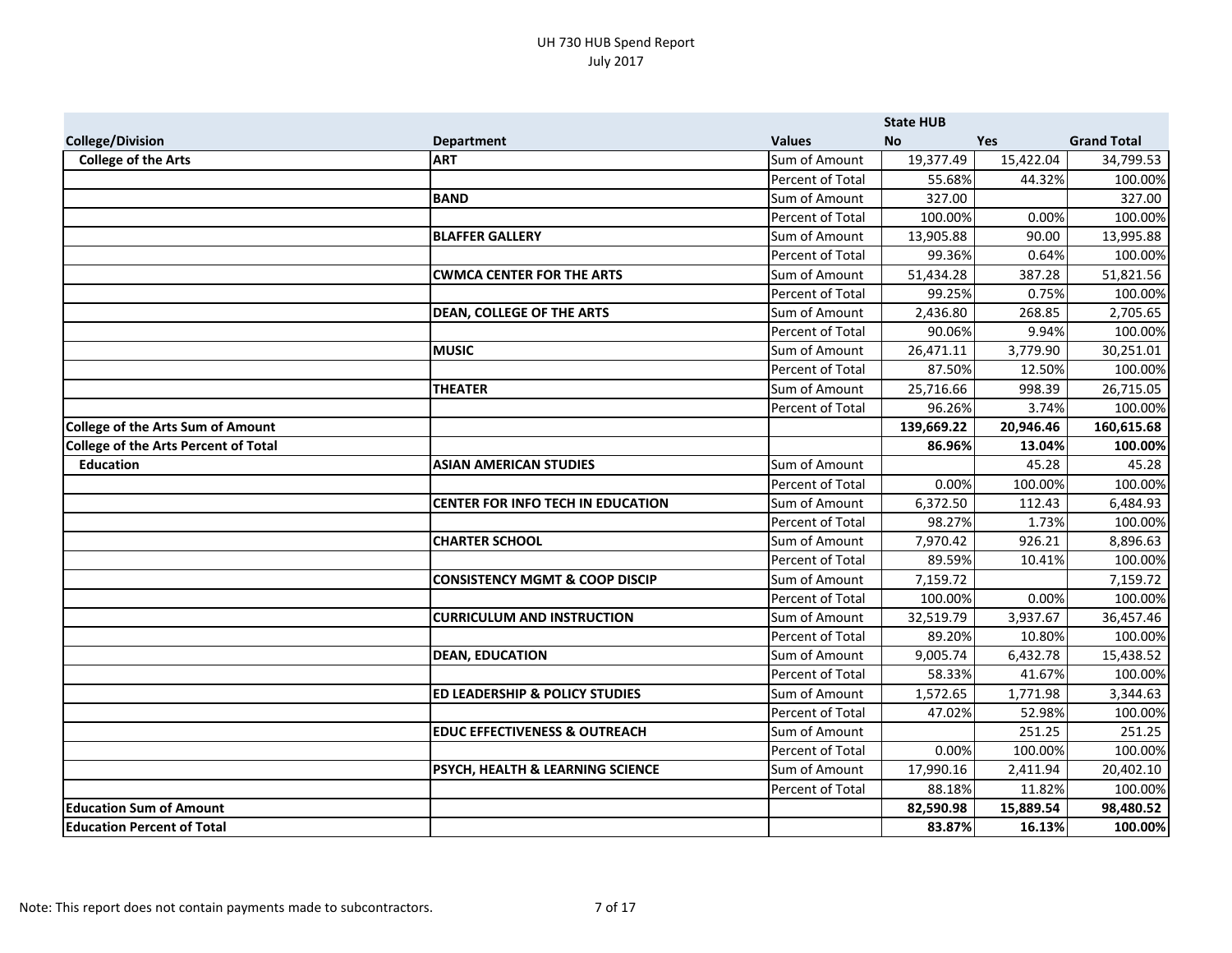|                                          |                                           |                  | <b>State HUB</b> |            |                    |
|------------------------------------------|-------------------------------------------|------------------|------------------|------------|--------------------|
| <b>College/Division</b>                  | <b>Department</b>                         | <b>Values</b>    | <b>No</b>        | <b>Yes</b> | <b>Grand Total</b> |
| <b>College of the Arts</b>               | <b>ART</b>                                | Sum of Amount    | 19,377.49        | 15,422.04  | 34,799.53          |
|                                          |                                           | Percent of Total | 55.68%           | 44.32%     | 100.00%            |
|                                          | <b>BAND</b>                               | Sum of Amount    | 327.00           |            | 327.00             |
|                                          |                                           | Percent of Total | 100.00%          | 0.00%      | 100.00%            |
|                                          | <b>BLAFFER GALLERY</b>                    | Sum of Amount    | 13,905.88        | 90.00      | 13,995.88          |
|                                          |                                           | Percent of Total | 99.36%           | 0.64%      | 100.00%            |
|                                          | <b>CWMCA CENTER FOR THE ARTS</b>          | Sum of Amount    | 51,434.28        | 387.28     | 51,821.56          |
|                                          |                                           | Percent of Total | 99.25%           | 0.75%      | 100.00%            |
|                                          | <b>DEAN, COLLEGE OF THE ARTS</b>          | Sum of Amount    | 2,436.80         | 268.85     | 2,705.65           |
|                                          |                                           | Percent of Total | 90.06%           | 9.94%      | 100.00%            |
|                                          | <b>MUSIC</b>                              | Sum of Amount    | 26,471.11        | 3,779.90   | 30,251.01          |
|                                          |                                           | Percent of Total | 87.50%           | 12.50%     | 100.00%            |
|                                          | <b>THEATER</b>                            | Sum of Amount    | 25,716.66        | 998.39     | 26,715.05          |
|                                          |                                           | Percent of Total | 96.26%           | 3.74%      | 100.00%            |
| <b>College of the Arts Sum of Amount</b> |                                           |                  | 139,669.22       | 20,946.46  | 160,615.68         |
| College of the Arts Percent of Total     |                                           |                  | 86.96%           | 13.04%     | 100.00%            |
| <b>Education</b>                         | <b>ASIAN AMERICAN STUDIES</b>             | Sum of Amount    |                  | 45.28      | 45.28              |
|                                          |                                           | Percent of Total | 0.00%            | 100.00%    | 100.00%            |
|                                          | <b>CENTER FOR INFO TECH IN EDUCATION</b>  | Sum of Amount    | 6,372.50         | 112.43     | 6,484.93           |
|                                          |                                           | Percent of Total | 98.27%           | 1.73%      | 100.00%            |
|                                          | <b>CHARTER SCHOOL</b>                     | Sum of Amount    | 7,970.42         | 926.21     | 8,896.63           |
|                                          |                                           | Percent of Total | 89.59%           | 10.41%     | 100.00%            |
|                                          | <b>CONSISTENCY MGMT &amp; COOP DISCIP</b> | Sum of Amount    | 7,159.72         |            | 7,159.72           |
|                                          |                                           | Percent of Total | 100.00%          | 0.00%      | 100.00%            |
|                                          | <b>CURRICULUM AND INSTRUCTION</b>         | Sum of Amount    | 32,519.79        | 3,937.67   | 36,457.46          |
|                                          |                                           | Percent of Total | 89.20%           | 10.80%     | 100.00%            |
|                                          | <b>DEAN, EDUCATION</b>                    | Sum of Amount    | 9,005.74         | 6,432.78   | 15,438.52          |
|                                          |                                           | Percent of Total | 58.33%           | 41.67%     | 100.00%            |
|                                          | <b>ED LEADERSHIP &amp; POLICY STUDIES</b> | Sum of Amount    | 1,572.65         | 1,771.98   | 3,344.63           |
|                                          |                                           | Percent of Total | 47.02%           | 52.98%     | 100.00%            |
|                                          | <b>EDUC EFFECTIVENESS &amp; OUTREACH</b>  | Sum of Amount    |                  | 251.25     | 251.25             |
|                                          |                                           | Percent of Total | 0.00%            | 100.00%    | 100.00%            |
|                                          | PSYCH, HEALTH & LEARNING SCIENCE          | Sum of Amount    | 17,990.16        | 2,411.94   | 20,402.10          |
|                                          |                                           | Percent of Total | 88.18%           | 11.82%     | 100.00%            |
| <b>Education Sum of Amount</b>           |                                           |                  | 82,590.98        | 15,889.54  | 98,480.52          |
| <b>Education Percent of Total</b>        |                                           |                  | 83.87%           | 16.13%     | 100.00%            |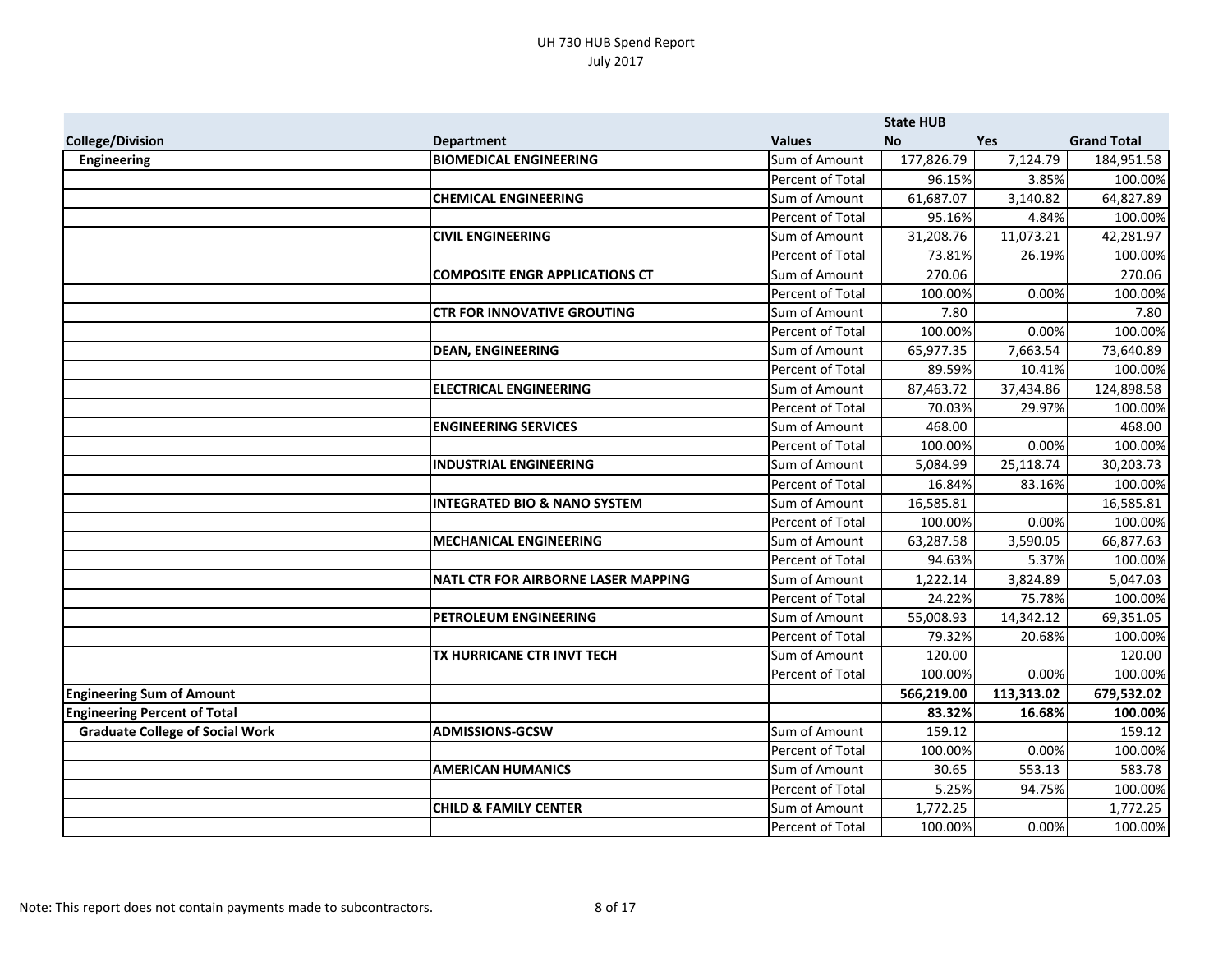|                                        |                                            |                  | <b>State HUB</b> |            |                    |
|----------------------------------------|--------------------------------------------|------------------|------------------|------------|--------------------|
| <b>College/Division</b>                | <b>Department</b>                          | <b>Values</b>    | <b>No</b>        | <b>Yes</b> | <b>Grand Total</b> |
| <b>Engineering</b>                     | <b>BIOMEDICAL ENGINEERING</b>              | Sum of Amount    | 177,826.79       | 7,124.79   | 184,951.58         |
|                                        |                                            | Percent of Total | 96.15%           | 3.85%      | 100.00%            |
|                                        | <b>CHEMICAL ENGINEERING</b>                | Sum of Amount    | 61,687.07        | 3,140.82   | 64,827.89          |
|                                        |                                            | Percent of Total | 95.16%           | 4.84%      | 100.00%            |
|                                        | <b>CIVIL ENGINEERING</b>                   | Sum of Amount    | 31,208.76        | 11,073.21  | 42,281.97          |
|                                        |                                            | Percent of Total | 73.81%           | 26.19%     | 100.00%            |
|                                        | <b>COMPOSITE ENGR APPLICATIONS CT</b>      | Sum of Amount    | 270.06           |            | 270.06             |
|                                        |                                            | Percent of Total | 100.00%          | 0.00%      | 100.00%            |
|                                        | <b>CTR FOR INNOVATIVE GROUTING</b>         | Sum of Amount    | 7.80             |            | 7.80               |
|                                        |                                            | Percent of Total | 100.00%          | 0.00%      | 100.00%            |
|                                        | <b>DEAN, ENGINEERING</b>                   | Sum of Amount    | 65,977.35        | 7,663.54   | 73,640.89          |
|                                        |                                            | Percent of Total | 89.59%           | 10.41%     | 100.00%            |
|                                        | <b>ELECTRICAL ENGINEERING</b>              | Sum of Amount    | 87,463.72        | 37,434.86  | 124,898.58         |
|                                        |                                            | Percent of Total | 70.03%           | 29.97%     | 100.00%            |
|                                        | <b>ENGINEERING SERVICES</b>                | Sum of Amount    | 468.00           |            | 468.00             |
|                                        |                                            | Percent of Total | 100.00%          | 0.00%      | 100.00%            |
|                                        | <b>INDUSTRIAL ENGINEERING</b>              | Sum of Amount    | 5,084.99         | 25,118.74  | 30,203.73          |
|                                        |                                            | Percent of Total | 16.84%           | 83.16%     | 100.00%            |
|                                        | <b>INTEGRATED BIO &amp; NANO SYSTEM</b>    | Sum of Amount    | 16,585.81        |            | 16,585.81          |
|                                        |                                            | Percent of Total | 100.00%          | 0.00%      | 100.00%            |
|                                        | <b>MECHANICAL ENGINEERING</b>              | Sum of Amount    | 63,287.58        | 3,590.05   | 66,877.63          |
|                                        |                                            | Percent of Total | 94.63%           | 5.37%      | 100.00%            |
|                                        | <b>NATL CTR FOR AIRBORNE LASER MAPPING</b> | Sum of Amount    | 1,222.14         | 3,824.89   | 5,047.03           |
|                                        |                                            | Percent of Total | 24.22%           | 75.78%     | 100.00%            |
|                                        | PETROLEUM ENGINEERING                      | Sum of Amount    | 55,008.93        | 14,342.12  | 69,351.05          |
|                                        |                                            | Percent of Total | 79.32%           | 20.68%     | 100.00%            |
|                                        | TX HURRICANE CTR INVT TECH                 | Sum of Amount    | 120.00           |            | 120.00             |
|                                        |                                            | Percent of Total | 100.00%          | 0.00%      | 100.00%            |
| <b>Engineering Sum of Amount</b>       |                                            |                  | 566,219.00       | 113,313.02 | 679,532.02         |
| <b>Engineering Percent of Total</b>    |                                            |                  | 83.32%           | 16.68%     | 100.00%            |
| <b>Graduate College of Social Work</b> | <b>ADMISSIONS-GCSW</b>                     | Sum of Amount    | 159.12           |            | 159.12             |
|                                        |                                            | Percent of Total | 100.00%          | 0.00%      | 100.00%            |
|                                        | <b>AMERICAN HUMANICS</b>                   | Sum of Amount    | 30.65            | 553.13     | 583.78             |
|                                        |                                            | Percent of Total | 5.25%            | 94.75%     | 100.00%            |
|                                        | <b>CHILD &amp; FAMILY CENTER</b>           | Sum of Amount    | 1,772.25         |            | 1,772.25           |
|                                        |                                            | Percent of Total | 100.00%          | 0.00%      | 100.00%            |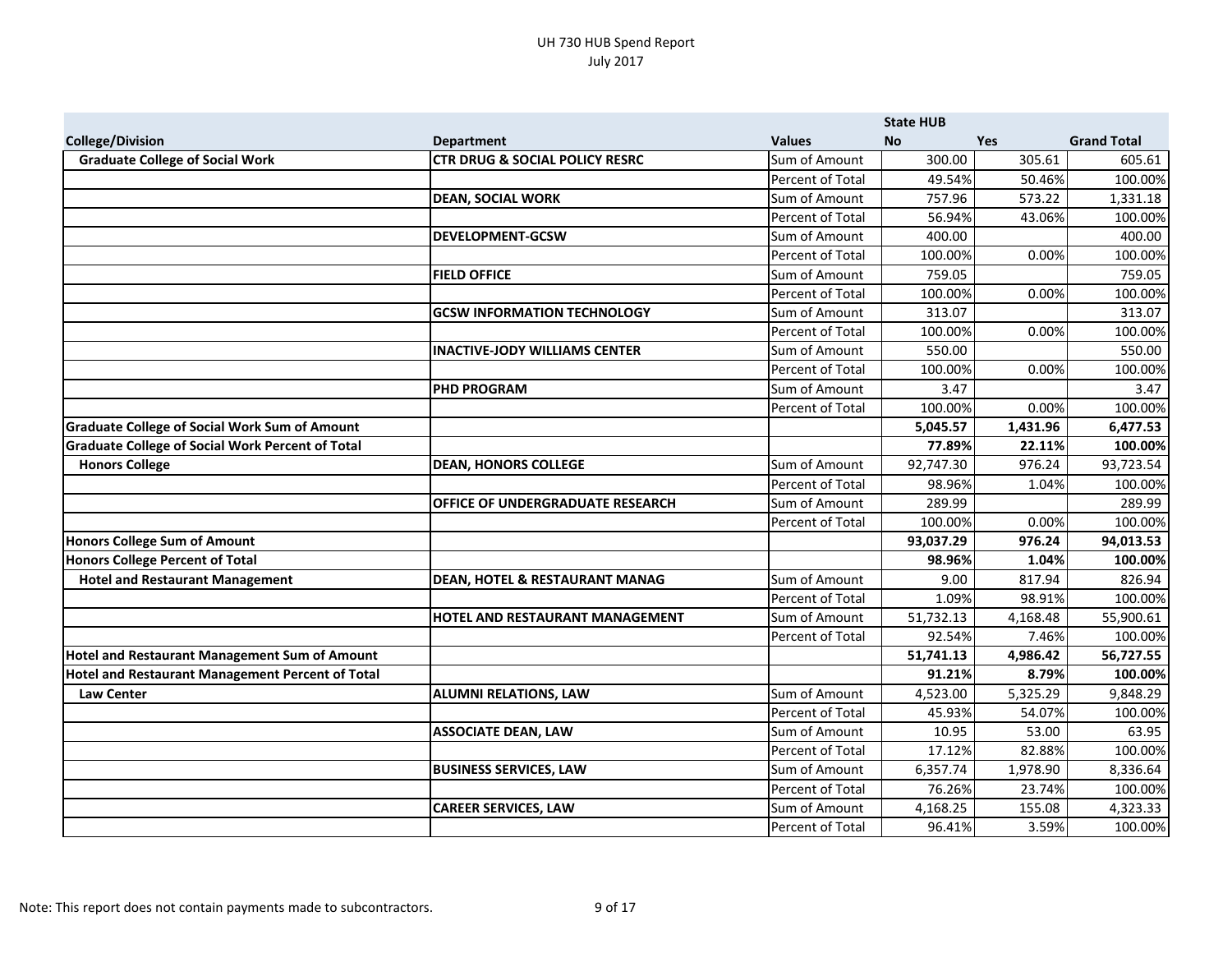|                                                         |                                           |                  | <b>State HUB</b> |            |                    |
|---------------------------------------------------------|-------------------------------------------|------------------|------------------|------------|--------------------|
| <b>College/Division</b>                                 | <b>Department</b>                         | <b>Values</b>    | No.              | <b>Yes</b> | <b>Grand Total</b> |
| <b>Graduate College of Social Work</b>                  | <b>CTR DRUG &amp; SOCIAL POLICY RESRC</b> | Sum of Amount    | 300.00           | 305.61     | 605.61             |
|                                                         |                                           | Percent of Total | 49.54%           | 50.46%     | 100.00%            |
|                                                         | <b>DEAN, SOCIAL WORK</b>                  | Sum of Amount    | 757.96           | 573.22     | 1,331.18           |
|                                                         |                                           | Percent of Total | 56.94%           | 43.06%     | 100.00%            |
|                                                         | <b>DEVELOPMENT-GCSW</b>                   | Sum of Amount    | 400.00           |            | 400.00             |
|                                                         |                                           | Percent of Total | 100.00%          | 0.00%      | 100.00%            |
|                                                         | <b>FIELD OFFICE</b>                       | Sum of Amount    | 759.05           |            | 759.05             |
|                                                         |                                           | Percent of Total | 100.00%          | 0.00%      | 100.00%            |
|                                                         | <b>GCSW INFORMATION TECHNOLOGY</b>        | Sum of Amount    | 313.07           |            | 313.07             |
|                                                         |                                           | Percent of Total | 100.00%          | 0.00%      | 100.00%            |
|                                                         | <b>INACTIVE-JODY WILLIAMS CENTER</b>      | Sum of Amount    | 550.00           |            | 550.00             |
|                                                         |                                           | Percent of Total | 100.00%          | 0.00%      | 100.00%            |
|                                                         | <b>PHD PROGRAM</b>                        | Sum of Amount    | 3.47             |            | 3.47               |
|                                                         |                                           | Percent of Total | 100.00%          | 0.00%      | 100.00%            |
| <b>Graduate College of Social Work Sum of Amount</b>    |                                           |                  | 5,045.57         | 1,431.96   | 6,477.53           |
| <b>Graduate College of Social Work Percent of Total</b> |                                           |                  | 77.89%           | 22.11%     | 100.00%            |
| <b>Honors College</b>                                   | <b>DEAN, HONORS COLLEGE</b>               | Sum of Amount    | 92,747.30        | 976.24     | 93,723.54          |
|                                                         |                                           | Percent of Total | 98.96%           | 1.04%      | 100.00%            |
|                                                         | OFFICE OF UNDERGRADUATE RESEARCH          | Sum of Amount    | 289.99           |            | 289.99             |
|                                                         |                                           | Percent of Total | 100.00%          | 0.00%      | 100.00%            |
| Honors College Sum of Amount                            |                                           |                  | 93,037.29        | 976.24     | 94,013.53          |
| Honors College Percent of Total                         |                                           |                  | 98.96%           | 1.04%      | 100.00%            |
| <b>Hotel and Restaurant Management</b>                  | <b>DEAN, HOTEL &amp; RESTAURANT MANAG</b> | Sum of Amount    | 9.00             | 817.94     | 826.94             |
|                                                         |                                           | Percent of Total | 1.09%            | 98.91%     | 100.00%            |
|                                                         | HOTEL AND RESTAURANT MANAGEMENT           | Sum of Amount    | 51,732.13        | 4,168.48   | 55,900.61          |
|                                                         |                                           | Percent of Total | 92.54%           | 7.46%      | 100.00%            |
| <b>Hotel and Restaurant Management Sum of Amount</b>    |                                           |                  | 51,741.13        | 4,986.42   | 56,727.55          |
| <b>Hotel and Restaurant Management Percent of Total</b> |                                           |                  | 91.21%           | 8.79%      | 100.00%            |
| <b>Law Center</b>                                       | <b>ALUMNI RELATIONS, LAW</b>              | Sum of Amount    | 4,523.00         | 5,325.29   | 9,848.29           |
|                                                         |                                           | Percent of Total | 45.93%           | 54.07%     | 100.00%            |
|                                                         | <b>ASSOCIATE DEAN, LAW</b>                | Sum of Amount    | 10.95            | 53.00      | 63.95              |
|                                                         |                                           | Percent of Total | 17.12%           | 82.88%     | 100.00%            |
|                                                         | <b>BUSINESS SERVICES, LAW</b>             | Sum of Amount    | 6,357.74         | 1,978.90   | 8,336.64           |
|                                                         |                                           | Percent of Total | 76.26%           | 23.74%     | 100.00%            |
|                                                         | <b>CAREER SERVICES, LAW</b>               | Sum of Amount    | 4,168.25         | 155.08     | 4,323.33           |
|                                                         |                                           | Percent of Total | 96.41%           | 3.59%      | 100.00%            |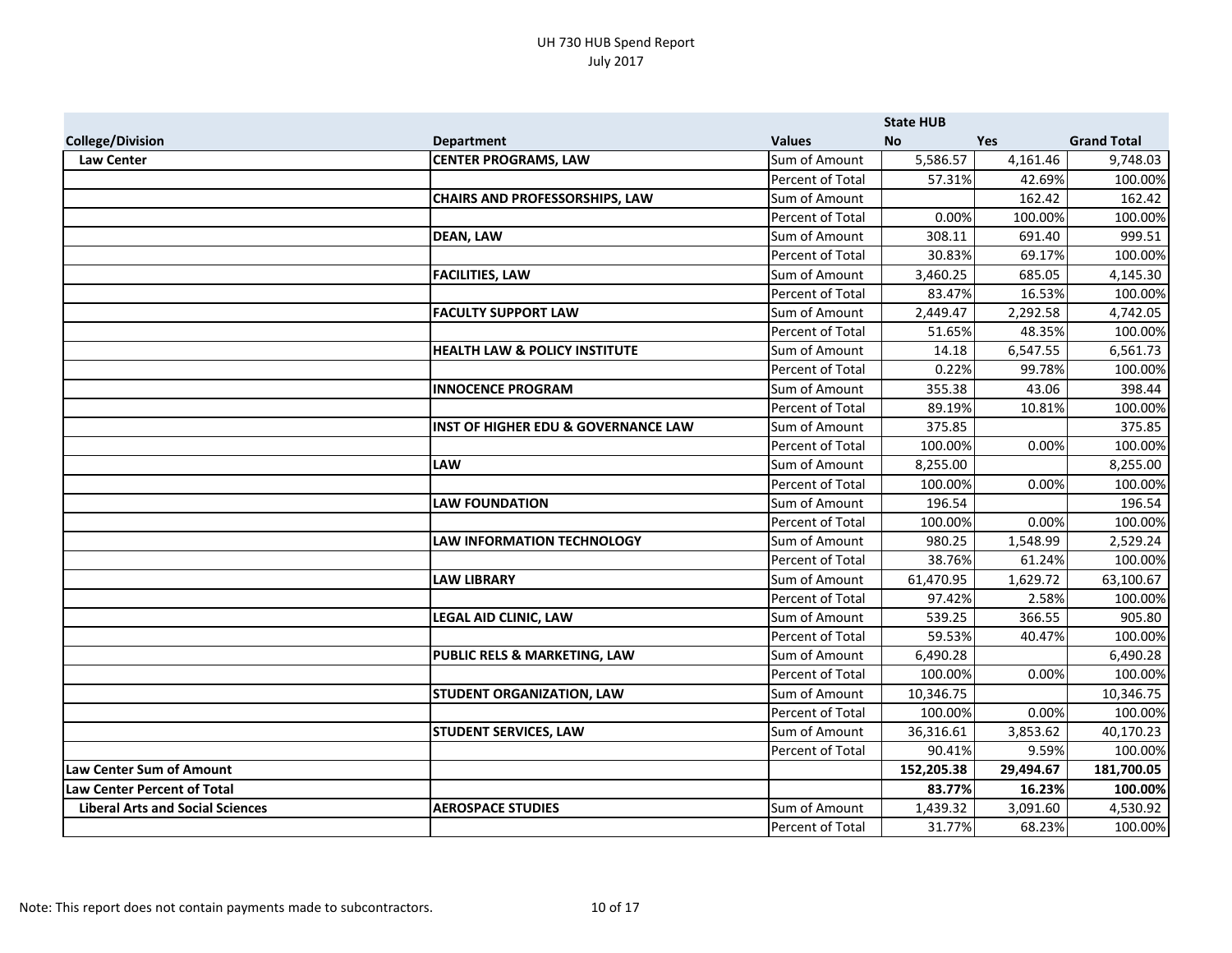|                                         |                                                |                         | <b>State HUB</b> |            |                    |
|-----------------------------------------|------------------------------------------------|-------------------------|------------------|------------|--------------------|
| <b>College/Division</b>                 | <b>Department</b>                              | <b>Values</b>           | <b>No</b>        | <b>Yes</b> | <b>Grand Total</b> |
| <b>Law Center</b>                       | <b>CENTER PROGRAMS, LAW</b>                    | Sum of Amount           | 5,586.57         | 4,161.46   | 9,748.03           |
|                                         |                                                | Percent of Total        | 57.31%           | 42.69%     | 100.00%            |
|                                         | <b>CHAIRS AND PROFESSORSHIPS, LAW</b>          | Sum of Amount           |                  | 162.42     | 162.42             |
|                                         |                                                | Percent of Total        | 0.00%            | 100.00%    | 100.00%            |
|                                         | <b>DEAN, LAW</b>                               | Sum of Amount           | 308.11           | 691.40     | 999.51             |
|                                         |                                                | Percent of Total        | 30.83%           | 69.17%     | 100.00%            |
|                                         | <b>FACILITIES, LAW</b>                         | Sum of Amount           | 3,460.25         | 685.05     | 4,145.30           |
|                                         |                                                | Percent of Total        | 83.47%           | 16.53%     | 100.00%            |
|                                         | <b>FACULTY SUPPORT LAW</b>                     | Sum of Amount           | 2,449.47         | 2,292.58   | 4,742.05           |
|                                         |                                                | Percent of Total        | 51.65%           | 48.35%     | 100.00%            |
|                                         | <b>HEALTH LAW &amp; POLICY INSTITUTE</b>       | Sum of Amount           | 14.18            | 6,547.55   | 6,561.73           |
|                                         |                                                | Percent of Total        | 0.22%            | 99.78%     | 100.00%            |
|                                         | <b>INNOCENCE PROGRAM</b>                       | Sum of Amount           | 355.38           | 43.06      | 398.44             |
|                                         |                                                | Percent of Total        | 89.19%           | 10.81%     | 100.00%            |
|                                         | <b>INST OF HIGHER EDU &amp; GOVERNANCE LAW</b> | Sum of Amount           | 375.85           |            | 375.85             |
|                                         |                                                | Percent of Total        | 100.00%          | 0.00%      | 100.00%            |
|                                         | <b>LAW</b>                                     | Sum of Amount           | 8,255.00         |            | 8,255.00           |
|                                         |                                                | Percent of Total        | 100.00%          | 0.00%      | 100.00%            |
|                                         | <b>LAW FOUNDATION</b>                          | Sum of Amount           | 196.54           |            | 196.54             |
|                                         |                                                | Percent of Total        | 100.00%          | 0.00%      | 100.00%            |
|                                         | <b>LAW INFORMATION TECHNOLOGY</b>              | Sum of Amount           | 980.25           | 1,548.99   | 2,529.24           |
|                                         |                                                | Percent of Total        | 38.76%           | 61.24%     | 100.00%            |
|                                         | <b>LAW LIBRARY</b>                             | Sum of Amount           | 61,470.95        | 1,629.72   | 63,100.67          |
|                                         |                                                | Percent of Total        | 97.42%           | 2.58%      | 100.00%            |
|                                         | <b>LEGAL AID CLINIC, LAW</b>                   | Sum of Amount           | 539.25           | 366.55     | 905.80             |
|                                         |                                                | Percent of Total        | 59.53%           | 40.47%     | 100.00%            |
|                                         | <b>PUBLIC RELS &amp; MARKETING, LAW</b>        | Sum of Amount           | 6,490.28         |            | 6,490.28           |
|                                         |                                                | Percent of Total        | 100.00%          | 0.00%      | 100.00%            |
|                                         | <b>STUDENT ORGANIZATION, LAW</b>               | Sum of Amount           | 10,346.75        |            | 10,346.75          |
|                                         |                                                | <b>Percent of Total</b> | 100.00%          | 0.00%      | 100.00%            |
|                                         | <b>STUDENT SERVICES, LAW</b>                   | Sum of Amount           | 36,316.61        | 3,853.62   | 40,170.23          |
|                                         |                                                | Percent of Total        | 90.41%           | 9.59%      | 100.00%            |
| Law Center Sum of Amount                |                                                |                         | 152,205.38       | 29,494.67  | 181,700.05         |
| Law Center Percent of Total             |                                                |                         | 83.77%           | 16.23%     | 100.00%            |
| <b>Liberal Arts and Social Sciences</b> | <b>AEROSPACE STUDIES</b>                       | Sum of Amount           | 1,439.32         | 3,091.60   | 4,530.92           |
|                                         |                                                | Percent of Total        | 31.77%           | 68.23%     | 100.00%            |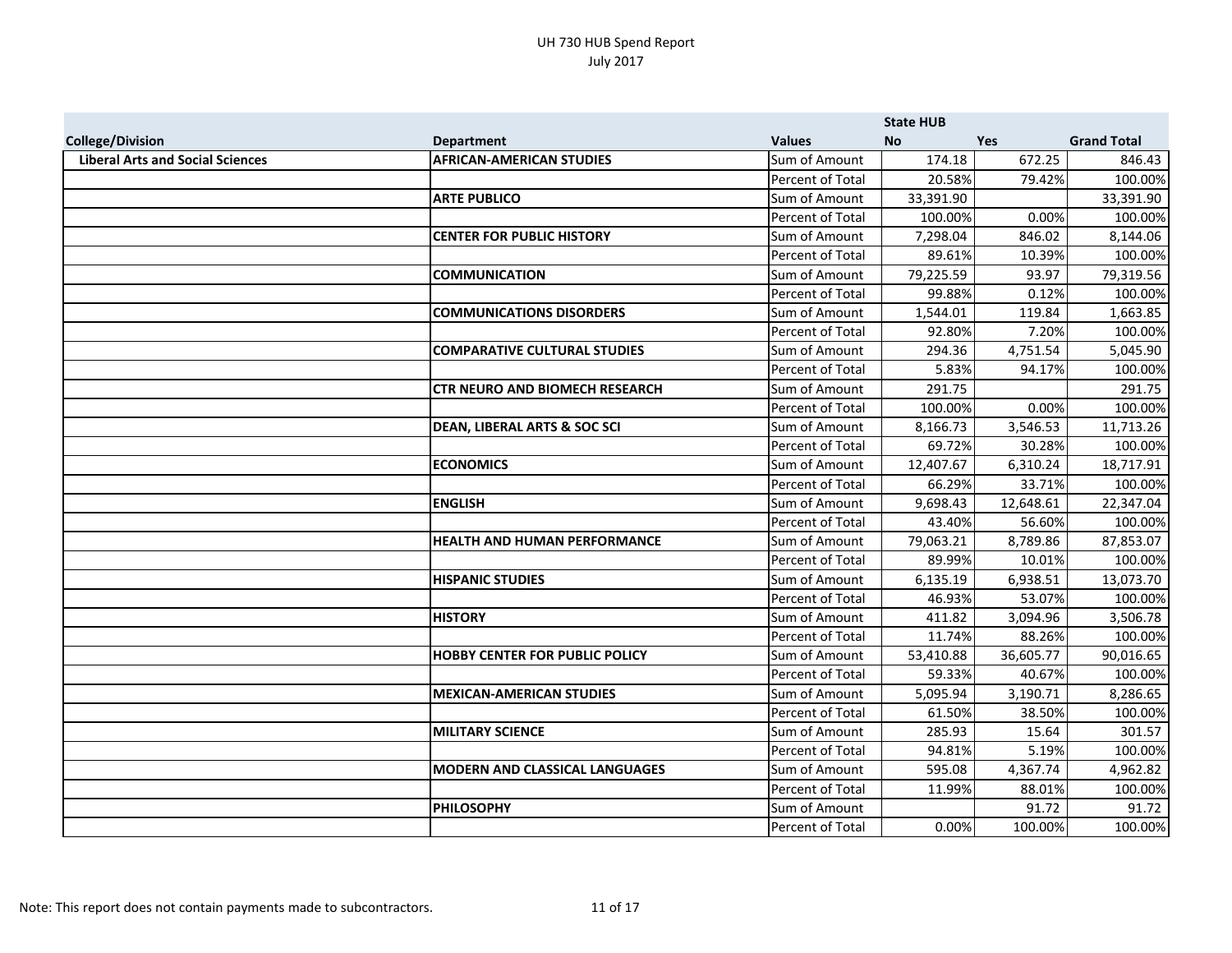|                                         |                                         |                  | <b>State HUB</b> |           |                    |
|-----------------------------------------|-----------------------------------------|------------------|------------------|-----------|--------------------|
| <b>College/Division</b>                 | <b>Department</b>                       | <b>Values</b>    | <b>No</b>        | Yes       | <b>Grand Total</b> |
| <b>Liberal Arts and Social Sciences</b> | <b>AFRICAN-AMERICAN STUDIES</b>         | Sum of Amount    | 174.18           | 672.25    | 846.43             |
|                                         |                                         | Percent of Total | 20.58%           | 79.42%    | 100.00%            |
|                                         | <b>ARTE PUBLICO</b>                     | Sum of Amount    | 33,391.90        |           | 33,391.90          |
|                                         |                                         | Percent of Total | 100.00%          | 0.00%     | 100.00%            |
|                                         | <b>CENTER FOR PUBLIC HISTORY</b>        | Sum of Amount    | 7,298.04         | 846.02    | 8,144.06           |
|                                         |                                         | Percent of Total | 89.61%           | 10.39%    | 100.00%            |
|                                         | <b>COMMUNICATION</b>                    | Sum of Amount    | 79,225.59        | 93.97     | 79,319.56          |
|                                         |                                         | Percent of Total | 99.88%           | 0.12%     | 100.00%            |
|                                         | <b>COMMUNICATIONS DISORDERS</b>         | Sum of Amount    | 1,544.01         | 119.84    | 1,663.85           |
|                                         |                                         | Percent of Total | 92.80%           | 7.20%     | 100.00%            |
|                                         | <b>COMPARATIVE CULTURAL STUDIES</b>     | Sum of Amount    | 294.36           | 4,751.54  | 5,045.90           |
|                                         |                                         | Percent of Total | 5.83%            | 94.17%    | 100.00%            |
|                                         | <b>CTR NEURO AND BIOMECH RESEARCH</b>   | Sum of Amount    | 291.75           |           | 291.75             |
|                                         |                                         | Percent of Total | 100.00%          | 0.00%     | 100.00%            |
|                                         | <b>DEAN, LIBERAL ARTS &amp; SOC SCI</b> | Sum of Amount    | 8,166.73         | 3,546.53  | 11,713.26          |
|                                         |                                         | Percent of Total | 69.72%           | 30.28%    | 100.00%            |
|                                         | <b>ECONOMICS</b>                        | Sum of Amount    | 12,407.67        | 6,310.24  | 18,717.91          |
|                                         |                                         | Percent of Total | 66.29%           | 33.71%    | 100.00%            |
|                                         | <b>ENGLISH</b>                          | Sum of Amount    | 9,698.43         | 12,648.61 | 22,347.04          |
|                                         |                                         | Percent of Total | 43.40%           | 56.60%    | 100.00%            |
|                                         | <b>HEALTH AND HUMAN PERFORMANCE</b>     | Sum of Amount    | 79,063.21        | 8,789.86  | 87,853.07          |
|                                         |                                         | Percent of Total | 89.99%           | 10.01%    | 100.00%            |
|                                         | <b>HISPANIC STUDIES</b>                 | Sum of Amount    | 6,135.19         | 6,938.51  | 13,073.70          |
|                                         |                                         | Percent of Total | 46.93%           | 53.07%    | 100.00%            |
|                                         | <b>HISTORY</b>                          | Sum of Amount    | 411.82           | 3,094.96  | 3,506.78           |
|                                         |                                         | Percent of Total | 11.74%           | 88.26%    | 100.00%            |
|                                         | <b>HOBBY CENTER FOR PUBLIC POLICY</b>   | Sum of Amount    | 53,410.88        | 36,605.77 | 90,016.65          |
|                                         |                                         | Percent of Total | 59.33%           | 40.67%    | 100.00%            |
|                                         | <b>MEXICAN-AMERICAN STUDIES</b>         | Sum of Amount    | 5,095.94         | 3,190.71  | 8,286.65           |
|                                         |                                         | Percent of Total | 61.50%           | 38.50%    | 100.00%            |
|                                         | <b>MILITARY SCIENCE</b>                 | Sum of Amount    | 285.93           | 15.64     | 301.57             |
|                                         |                                         | Percent of Total | 94.81%           | 5.19%     | 100.00%            |
|                                         | <b>MODERN AND CLASSICAL LANGUAGES</b>   | Sum of Amount    | 595.08           | 4,367.74  | 4,962.82           |
|                                         |                                         | Percent of Total | 11.99%           | 88.01%    | 100.00%            |
|                                         | <b>PHILOSOPHY</b>                       | Sum of Amount    |                  | 91.72     | 91.72              |
|                                         |                                         | Percent of Total | 0.00%            | 100.00%   | 100.00%            |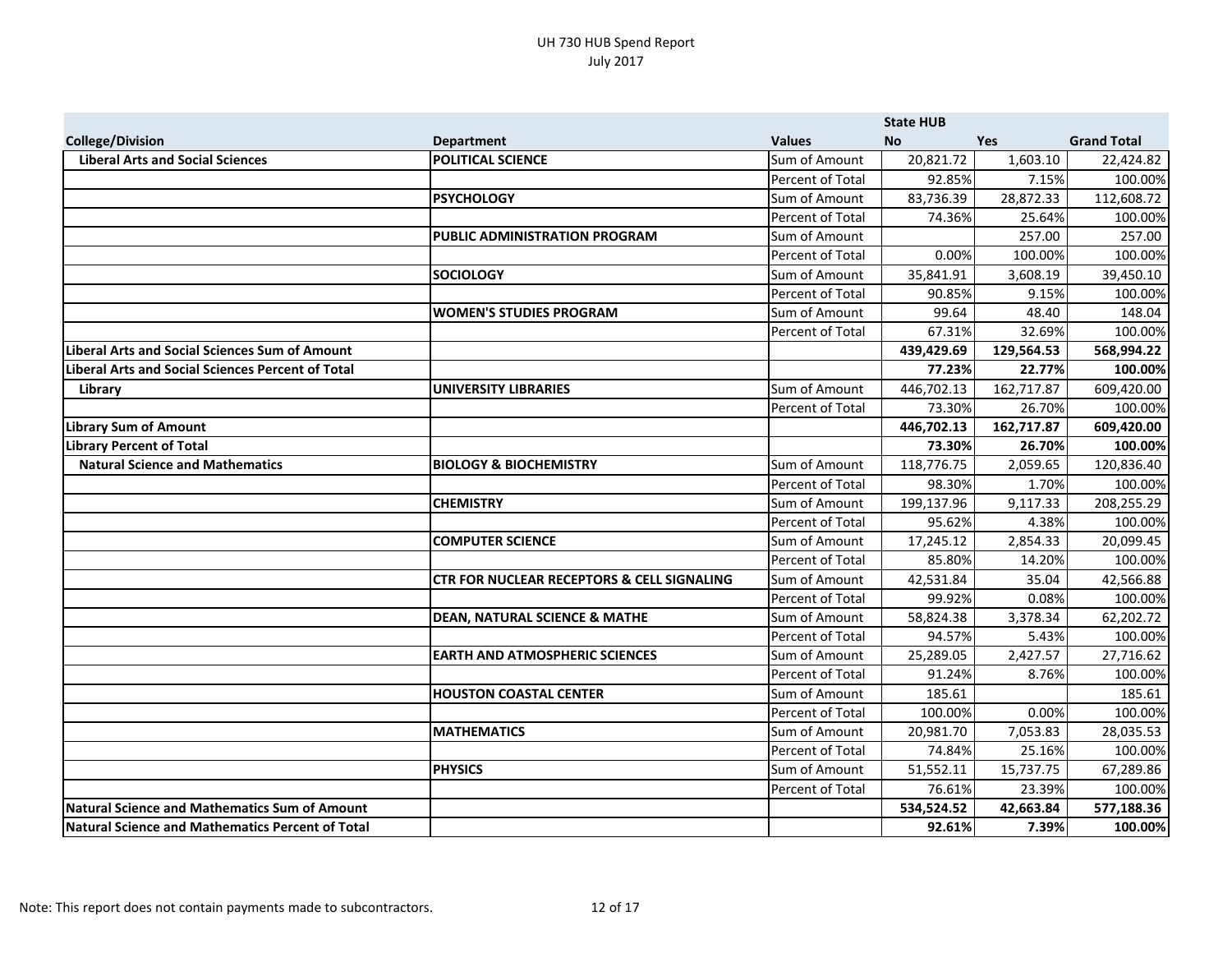|                                                          |                                                       |                         | <b>State HUB</b> |            |                    |
|----------------------------------------------------------|-------------------------------------------------------|-------------------------|------------------|------------|--------------------|
| <b>College/Division</b>                                  | <b>Department</b>                                     | <b>Values</b>           | <b>No</b>        | <b>Yes</b> | <b>Grand Total</b> |
| <b>Liberal Arts and Social Sciences</b>                  | <b>POLITICAL SCIENCE</b>                              | Sum of Amount           | 20,821.72        | 1,603.10   | 22,424.82          |
|                                                          |                                                       | Percent of Total        | 92.85%           | 7.15%      | 100.00%            |
|                                                          | <b>PSYCHOLOGY</b>                                     | Sum of Amount           | 83,736.39        | 28,872.33  | 112,608.72         |
|                                                          |                                                       | Percent of Total        | 74.36%           | 25.64%     | 100.00%            |
|                                                          | PUBLIC ADMINISTRATION PROGRAM                         | Sum of Amount           |                  | 257.00     | 257.00             |
|                                                          |                                                       | Percent of Total        | 0.00%            | 100.00%    | 100.00%            |
|                                                          | <b>SOCIOLOGY</b>                                      | Sum of Amount           | 35,841.91        | 3,608.19   | 39,450.10          |
|                                                          |                                                       | Percent of Total        | 90.85%           | 9.15%      | 100.00%            |
|                                                          | <b>WOMEN'S STUDIES PROGRAM</b>                        | Sum of Amount           | 99.64            | 48.40      | 148.04             |
|                                                          |                                                       | Percent of Total        | 67.31%           | 32.69%     | 100.00%            |
| <b>Liberal Arts and Social Sciences Sum of Amount</b>    |                                                       |                         | 439,429.69       | 129,564.53 | 568,994.22         |
| <b>Liberal Arts and Social Sciences Percent of Total</b> |                                                       |                         | 77.23%           | 22.77%     | 100.00%            |
| Library                                                  | <b>UNIVERSITY LIBRARIES</b>                           | Sum of Amount           | 446,702.13       | 162,717.87 | 609,420.00         |
|                                                          |                                                       | <b>Percent of Total</b> | 73.30%           | 26.70%     | 100.00%            |
| <b>Library Sum of Amount</b>                             |                                                       |                         | 446,702.13       | 162,717.87 | 609,420.00         |
| <b>Library Percent of Total</b>                          |                                                       |                         | 73.30%           | 26.70%     | 100.00%            |
| <b>Natural Science and Mathematics</b>                   | <b>BIOLOGY &amp; BIOCHEMISTRY</b>                     | Sum of Amount           | 118,776.75       | 2,059.65   | 120,836.40         |
|                                                          |                                                       | <b>Percent of Total</b> | 98.30%           | 1.70%      | 100.00%            |
|                                                          | <b>CHEMISTRY</b>                                      | Sum of Amount           | 199,137.96       | 9,117.33   | 208,255.29         |
|                                                          |                                                       | Percent of Total        | 95.62%           | 4.38%      | 100.00%            |
|                                                          | <b>COMPUTER SCIENCE</b>                               | Sum of Amount           | 17,245.12        | 2,854.33   | 20,099.45          |
|                                                          |                                                       | <b>Percent of Total</b> | 85.80%           | 14.20%     | 100.00%            |
|                                                          | <b>CTR FOR NUCLEAR RECEPTORS &amp; CELL SIGNALING</b> | Sum of Amount           | 42,531.84        | 35.04      | 42,566.88          |
|                                                          |                                                       | Percent of Total        | 99.92%           | 0.08%      | 100.00%            |
|                                                          | <b>DEAN, NATURAL SCIENCE &amp; MATHE</b>              | Sum of Amount           | 58,824.38        | 3,378.34   | 62,202.72          |
|                                                          |                                                       | <b>Percent of Total</b> | 94.57%           | 5.43%      | 100.00%            |
|                                                          | <b>EARTH AND ATMOSPHERIC SCIENCES</b>                 | Sum of Amount           | 25,289.05        | 2,427.57   | 27,716.62          |
|                                                          |                                                       | Percent of Total        | 91.24%           | 8.76%      | 100.00%            |
|                                                          | <b>HOUSTON COASTAL CENTER</b>                         | Sum of Amount           | 185.61           |            | 185.61             |
|                                                          |                                                       | Percent of Total        | 100.00%          | 0.00%      | 100.00%            |
|                                                          | <b>MATHEMATICS</b>                                    | Sum of Amount           | 20,981.70        | 7,053.83   | 28,035.53          |
|                                                          |                                                       | Percent of Total        | 74.84%           | 25.16%     | 100.00%            |
|                                                          | <b>PHYSICS</b>                                        | Sum of Amount           | 51,552.11        | 15,737.75  | 67,289.86          |
|                                                          |                                                       | Percent of Total        | 76.61%           | 23.39%     | 100.00%            |
| Natural Science and Mathematics Sum of Amount            |                                                       |                         | 534,524.52       | 42,663.84  | 577,188.36         |
| Natural Science and Mathematics Percent of Total         |                                                       |                         | 92.61%           | 7.39%      | 100.00%            |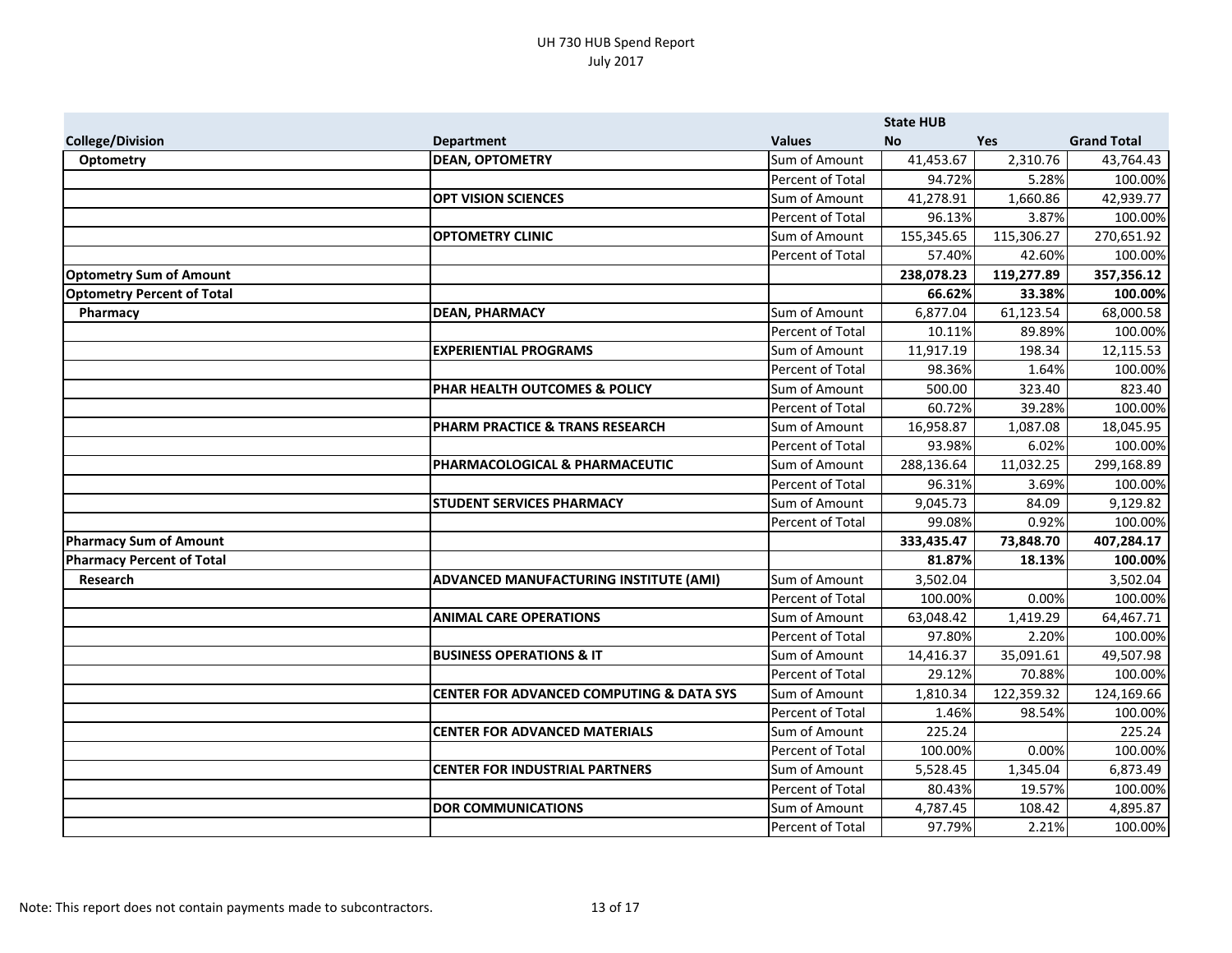|                                   |                                                     |                  | <b>State HUB</b> |            |                    |
|-----------------------------------|-----------------------------------------------------|------------------|------------------|------------|--------------------|
| <b>College/Division</b>           | <b>Department</b>                                   | <b>Values</b>    | <b>No</b>        | <b>Yes</b> | <b>Grand Total</b> |
| <b>Optometry</b>                  | <b>DEAN, OPTOMETRY</b>                              | Sum of Amount    | 41,453.67        | 2,310.76   | 43,764.43          |
|                                   |                                                     | Percent of Total | 94.72%           | 5.28%      | 100.00%            |
|                                   | <b>OPT VISION SCIENCES</b>                          | Sum of Amount    | 41,278.91        | 1,660.86   | 42,939.77          |
|                                   |                                                     | Percent of Total | 96.13%           | 3.87%      | 100.00%            |
|                                   | <b>OPTOMETRY CLINIC</b>                             | Sum of Amount    | 155,345.65       | 115,306.27 | 270,651.92         |
|                                   |                                                     | Percent of Total | 57.40%           | 42.60%     | 100.00%            |
| <b>Optometry Sum of Amount</b>    |                                                     |                  | 238,078.23       | 119,277.89 | 357,356.12         |
| <b>Optometry Percent of Total</b> |                                                     |                  | 66.62%           | 33.38%     | 100.00%            |
| Pharmacy                          | <b>DEAN, PHARMACY</b>                               | Sum of Amount    | 6,877.04         | 61,123.54  | 68,000.58          |
|                                   |                                                     | Percent of Total | 10.11%           | 89.89%     | 100.00%            |
|                                   | <b>EXPERIENTIAL PROGRAMS</b>                        | Sum of Amount    | 11,917.19        | 198.34     | 12,115.53          |
|                                   |                                                     | Percent of Total | 98.36%           | 1.64%      | 100.00%            |
|                                   | PHAR HEALTH OUTCOMES & POLICY                       | Sum of Amount    | 500.00           | 323.40     | 823.40             |
|                                   |                                                     | Percent of Total | 60.72%           | 39.28%     | 100.00%            |
|                                   | PHARM PRACTICE & TRANS RESEARCH                     | Sum of Amount    | 16,958.87        | 1,087.08   | 18,045.95          |
|                                   |                                                     | Percent of Total | 93.98%           | 6.02%      | 100.00%            |
|                                   | PHARMACOLOGICAL & PHARMACEUTIC                      | Sum of Amount    | 288,136.64       | 11,032.25  | 299,168.89         |
|                                   |                                                     | Percent of Total | 96.31%           | 3.69%      | 100.00%            |
|                                   | <b>STUDENT SERVICES PHARMACY</b>                    | Sum of Amount    | 9,045.73         | 84.09      | 9,129.82           |
|                                   |                                                     | Percent of Total | 99.08%           | 0.92%      | 100.00%            |
| <b>Pharmacy Sum of Amount</b>     |                                                     |                  | 333,435.47       | 73,848.70  | 407,284.17         |
| <b>Pharmacy Percent of Total</b>  |                                                     |                  | 81.87%           | 18.13%     | 100.00%            |
| <b>Research</b>                   | ADVANCED MANUFACTURING INSTITUTE (AMI)              | Sum of Amount    | 3,502.04         |            | 3,502.04           |
|                                   |                                                     | Percent of Total | 100.00%          | 0.00%      | 100.00%            |
|                                   | <b>ANIMAL CARE OPERATIONS</b>                       | Sum of Amount    | 63,048.42        | 1,419.29   | 64,467.71          |
|                                   |                                                     | Percent of Total | 97.80%           | 2.20%      | 100.00%            |
|                                   | <b>BUSINESS OPERATIONS &amp; IT</b>                 | Sum of Amount    | 14,416.37        | 35,091.61  | 49,507.98          |
|                                   |                                                     | Percent of Total | 29.12%           | 70.88%     | 100.00%            |
|                                   | <b>CENTER FOR ADVANCED COMPUTING &amp; DATA SYS</b> | Sum of Amount    | 1,810.34         | 122,359.32 | 124,169.66         |
|                                   |                                                     | Percent of Total | 1.46%            | 98.54%     | 100.00%            |
|                                   | <b>CENTER FOR ADVANCED MATERIALS</b>                | Sum of Amount    | 225.24           |            | 225.24             |
|                                   |                                                     | Percent of Total | 100.00%          | 0.00%      | 100.00%            |
|                                   | <b>CENTER FOR INDUSTRIAL PARTNERS</b>               | Sum of Amount    | 5,528.45         | 1,345.04   | 6,873.49           |
|                                   |                                                     | Percent of Total | 80.43%           | 19.57%     | 100.00%            |
|                                   | <b>DOR COMMUNICATIONS</b>                           | Sum of Amount    | 4,787.45         | 108.42     | 4,895.87           |
|                                   |                                                     | Percent of Total | 97.79%           | 2.21%      | 100.00%            |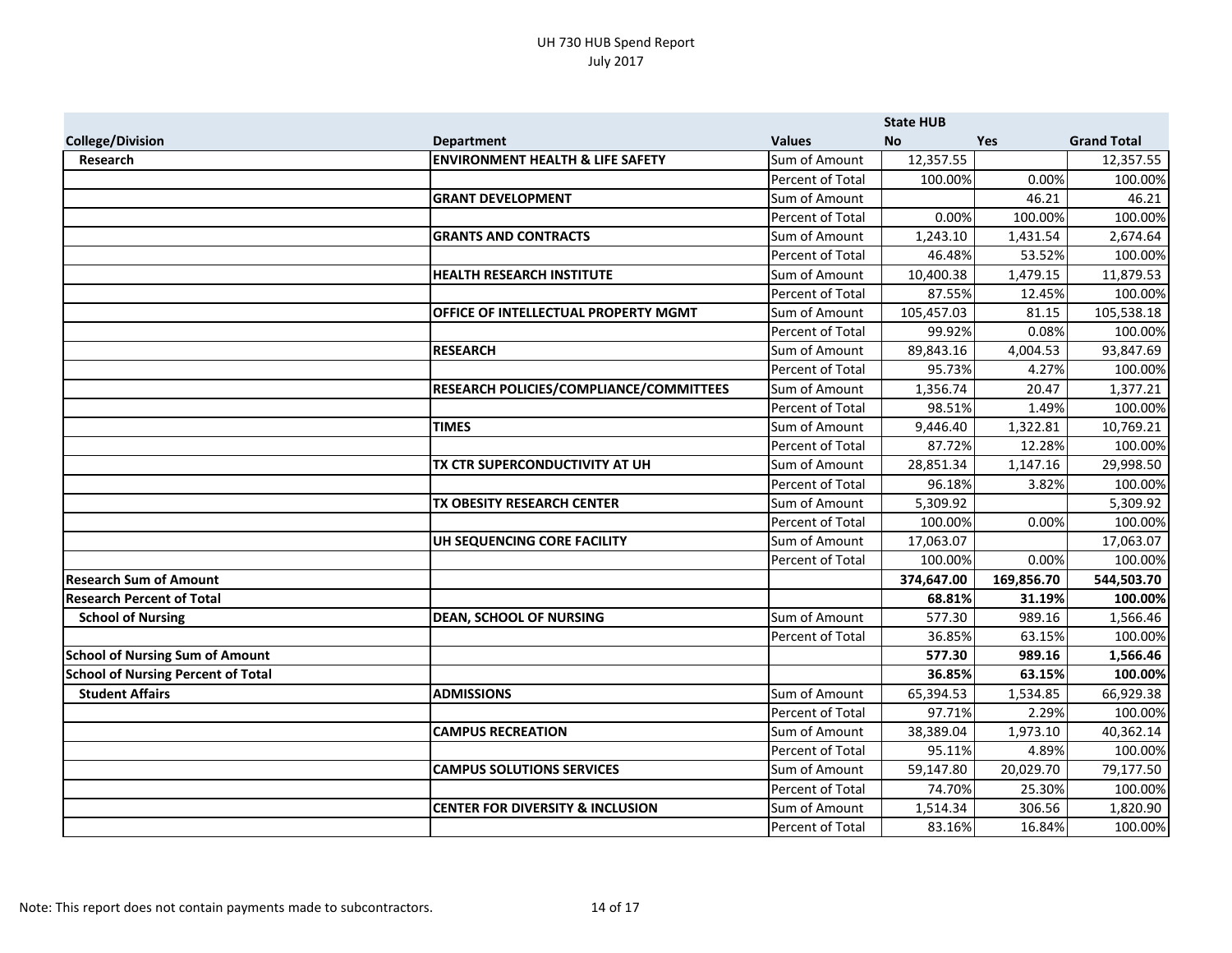|                                           |                                                |                         | <b>State HUB</b> |            |                    |
|-------------------------------------------|------------------------------------------------|-------------------------|------------------|------------|--------------------|
| <b>College/Division</b>                   | <b>Department</b>                              | <b>Values</b>           | <b>No</b>        | Yes        | <b>Grand Total</b> |
| Research                                  | <b>ENVIRONMENT HEALTH &amp; LIFE SAFETY</b>    | Sum of Amount           | 12,357.55        |            | 12,357.55          |
|                                           |                                                | Percent of Total        | 100.00%          | 0.00%      | 100.00%            |
|                                           | <b>GRANT DEVELOPMENT</b>                       | Sum of Amount           |                  | 46.21      | 46.21              |
|                                           |                                                | Percent of Total        | 0.00%            | 100.00%    | 100.00%            |
|                                           | <b>GRANTS AND CONTRACTS</b>                    | Sum of Amount           | 1,243.10         | 1,431.54   | 2,674.64           |
|                                           |                                                | Percent of Total        | 46.48%           | 53.52%     | 100.00%            |
|                                           | <b>HEALTH RESEARCH INSTITUTE</b>               | Sum of Amount           | 10,400.38        | 1,479.15   | 11,879.53          |
|                                           |                                                | Percent of Total        | 87.55%           | 12.45%     | 100.00%            |
|                                           | <b>OFFICE OF INTELLECTUAL PROPERTY MGMT</b>    | Sum of Amount           | 105,457.03       | 81.15      | 105,538.18         |
|                                           |                                                | Percent of Total        | 99.92%           | 0.08%      | 100.00%            |
|                                           | <b>RESEARCH</b>                                | Sum of Amount           | 89,843.16        | 4,004.53   | 93,847.69          |
|                                           |                                                | Percent of Total        | 95.73%           | 4.27%      | 100.00%            |
|                                           | <b>RESEARCH POLICIES/COMPLIANCE/COMMITTEES</b> | Sum of Amount           | 1,356.74         | 20.47      | 1,377.21           |
|                                           |                                                | Percent of Total        | 98.51%           | 1.49%      | 100.00%            |
|                                           | <b>TIMES</b>                                   | Sum of Amount           | 9,446.40         | 1,322.81   | 10,769.21          |
|                                           |                                                | Percent of Total        | 87.72%           | 12.28%     | 100.00%            |
|                                           | TX CTR SUPERCONDUCTIVITY AT UH                 | Sum of Amount           | 28,851.34        | 1,147.16   | 29,998.50          |
|                                           |                                                | <b>Percent of Total</b> | 96.18%           | 3.82%      | 100.00%            |
|                                           | TX OBESITY RESEARCH CENTER                     | Sum of Amount           | 5,309.92         |            | 5,309.92           |
|                                           |                                                | Percent of Total        | 100.00%          | 0.00%      | 100.00%            |
|                                           | UH SEQUENCING CORE FACILITY                    | Sum of Amount           | 17,063.07        |            | 17,063.07          |
|                                           |                                                | Percent of Total        | 100.00%          | 0.00%      | 100.00%            |
| <b>Research Sum of Amount</b>             |                                                |                         | 374,647.00       | 169,856.70 | 544,503.70         |
| <b>Research Percent of Total</b>          |                                                |                         | 68.81%           | 31.19%     | 100.00%            |
| <b>School of Nursing</b>                  | <b>DEAN, SCHOOL OF NURSING</b>                 | Sum of Amount           | 577.30           | 989.16     | 1,566.46           |
|                                           |                                                | Percent of Total        | 36.85%           | 63.15%     | 100.00%            |
| <b>School of Nursing Sum of Amount</b>    |                                                |                         | 577.30           | 989.16     | 1,566.46           |
| <b>School of Nursing Percent of Total</b> |                                                |                         | 36.85%           | 63.15%     | 100.00%            |
| <b>Student Affairs</b>                    | <b>ADMISSIONS</b>                              | Sum of Amount           | 65,394.53        | 1,534.85   | 66,929.38          |
|                                           |                                                | Percent of Total        | 97.71%           | 2.29%      | 100.00%            |
|                                           | <b>CAMPUS RECREATION</b>                       | Sum of Amount           | 38,389.04        | 1,973.10   | 40,362.14          |
|                                           |                                                | Percent of Total        | 95.11%           | 4.89%      | 100.00%            |
|                                           | <b>CAMPUS SOLUTIONS SERVICES</b>               | Sum of Amount           | 59,147.80        | 20,029.70  | 79,177.50          |
|                                           |                                                | Percent of Total        | 74.70%           | 25.30%     | 100.00%            |
|                                           | <b>ICENTER FOR DIVERSITY &amp; INCLUSION</b>   | Sum of Amount           | 1,514.34         | 306.56     | 1,820.90           |
|                                           |                                                | Percent of Total        | 83.16%           | 16.84%     | 100.00%            |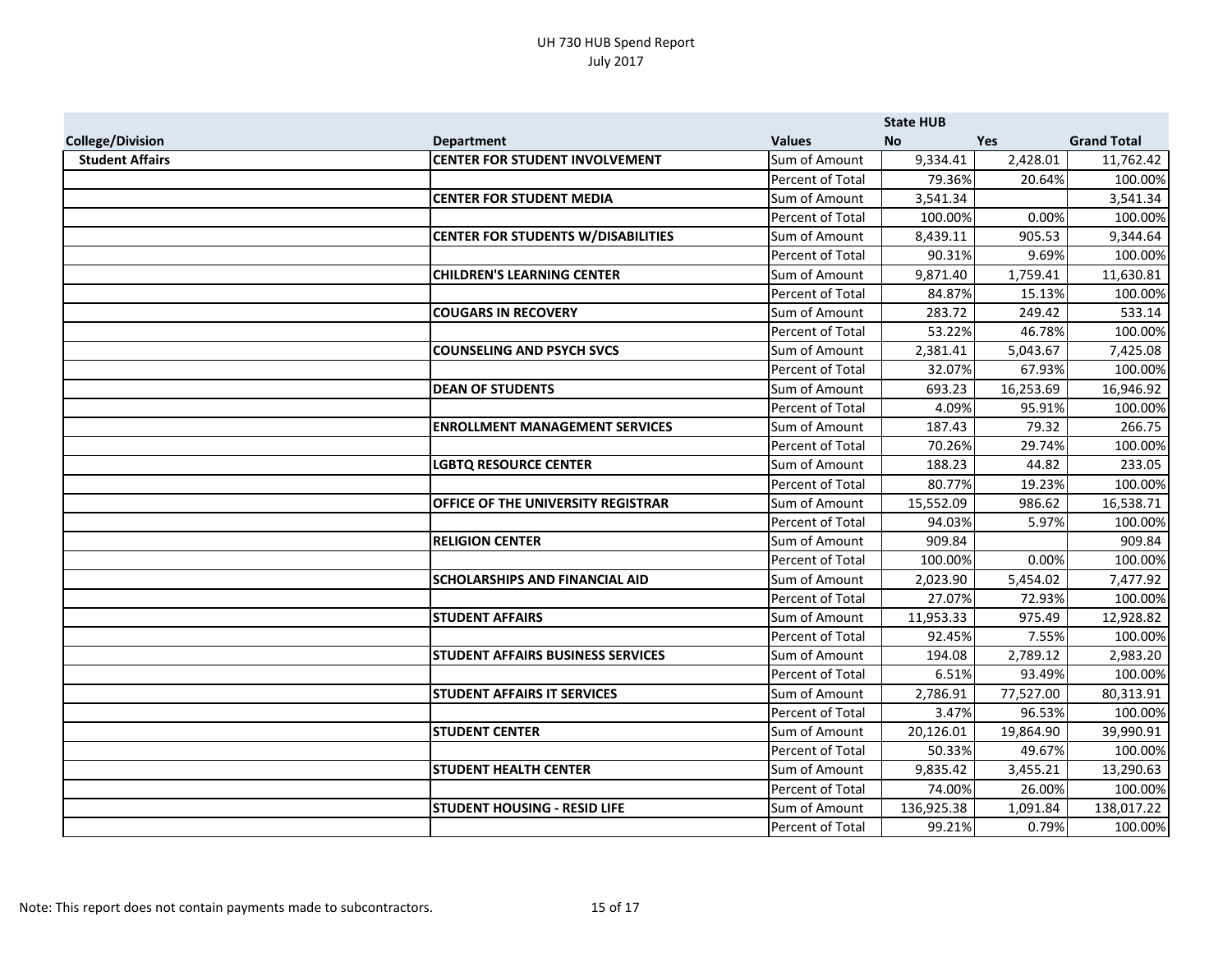|                         |                                           |                  | <b>State HUB</b> |            |                    |
|-------------------------|-------------------------------------------|------------------|------------------|------------|--------------------|
| <b>College/Division</b> | <b>Department</b>                         | <b>Values</b>    | <b>No</b>        | <b>Yes</b> | <b>Grand Total</b> |
| <b>Student Affairs</b>  | <b>CENTER FOR STUDENT INVOLVEMENT</b>     | Sum of Amount    | 9,334.41         | 2,428.01   | 11,762.42          |
|                         |                                           | Percent of Total | 79.36%           | 20.64%     | 100.00%            |
|                         | <b>CENTER FOR STUDENT MEDIA</b>           | Sum of Amount    | 3,541.34         |            | 3,541.34           |
|                         |                                           | Percent of Total | 100.00%          | 0.00%      | 100.00%            |
|                         | <b>CENTER FOR STUDENTS W/DISABILITIES</b> | Sum of Amount    | 8,439.11         | 905.53     | 9,344.64           |
|                         |                                           | Percent of Total | 90.31%           | 9.69%      | 100.00%            |
|                         | <b>CHILDREN'S LEARNING CENTER</b>         | Sum of Amount    | 9,871.40         | 1,759.41   | 11,630.81          |
|                         |                                           | Percent of Total | 84.87%           | 15.13%     | 100.00%            |
|                         | <b>COUGARS IN RECOVERY</b>                | Sum of Amount    | 283.72           | 249.42     | 533.14             |
|                         |                                           | Percent of Total | 53.22%           | 46.78%     | 100.00%            |
|                         | <b>COUNSELING AND PSYCH SVCS</b>          | Sum of Amount    | 2,381.41         | 5,043.67   | 7,425.08           |
|                         |                                           | Percent of Total | 32.07%           | 67.93%     | 100.00%            |
|                         | <b>DEAN OF STUDENTS</b>                   | Sum of Amount    | 693.23           | 16,253.69  | 16,946.92          |
|                         |                                           | Percent of Total | 4.09%            | 95.91%     | 100.00%            |
|                         | <b>ENROLLMENT MANAGEMENT SERVICES</b>     | Sum of Amount    | 187.43           | 79.32      | 266.75             |
|                         |                                           | Percent of Total | 70.26%           | 29.74%     | 100.00%            |
|                         | <b>LGBTQ RESOURCE CENTER</b>              | Sum of Amount    | 188.23           | 44.82      | 233.05             |
|                         |                                           | Percent of Total | 80.77%           | 19.23%     | 100.00%            |
|                         | OFFICE OF THE UNIVERSITY REGISTRAR        | Sum of Amount    | 15,552.09        | 986.62     | 16,538.71          |
|                         |                                           | Percent of Total | 94.03%           | 5.97%      | 100.00%            |
|                         | <b>RELIGION CENTER</b>                    | Sum of Amount    | 909.84           |            | 909.84             |
|                         |                                           | Percent of Total | 100.00%          | 0.00%      | 100.00%            |
|                         | <b>SCHOLARSHIPS AND FINANCIAL AID</b>     | Sum of Amount    | 2,023.90         | 5,454.02   | 7,477.92           |
|                         |                                           | Percent of Total | 27.07%           | 72.93%     | 100.00%            |
|                         | <b>STUDENT AFFAIRS</b>                    | Sum of Amount    | 11,953.33        | 975.49     | 12,928.82          |
|                         |                                           | Percent of Total | 92.45%           | 7.55%      | 100.00%            |
|                         | STUDENT AFFAIRS BUSINESS SERVICES         | Sum of Amount    | 194.08           | 2,789.12   | 2,983.20           |
|                         |                                           | Percent of Total | 6.51%            | 93.49%     | 100.00%            |
|                         | <b>STUDENT AFFAIRS IT SERVICES</b>        | Sum of Amount    | 2,786.91         | 77,527.00  | 80,313.91          |
|                         |                                           | Percent of Total | 3.47%            | 96.53%     | 100.00%            |
|                         | <b>STUDENT CENTER</b>                     | Sum of Amount    | 20,126.01        | 19,864.90  | 39,990.91          |
|                         |                                           | Percent of Total | 50.33%           | 49.67%     | 100.00%            |
|                         | <b>STUDENT HEALTH CENTER</b>              | Sum of Amount    | 9,835.42         | 3,455.21   | 13,290.63          |
|                         |                                           | Percent of Total | 74.00%           | 26.00%     | 100.00%            |
|                         | <b>STUDENT HOUSING - RESID LIFE</b>       | Sum of Amount    | 136,925.38       | 1,091.84   | 138,017.22         |
|                         |                                           | Percent of Total | 99.21%           | 0.79%      | 100.00%            |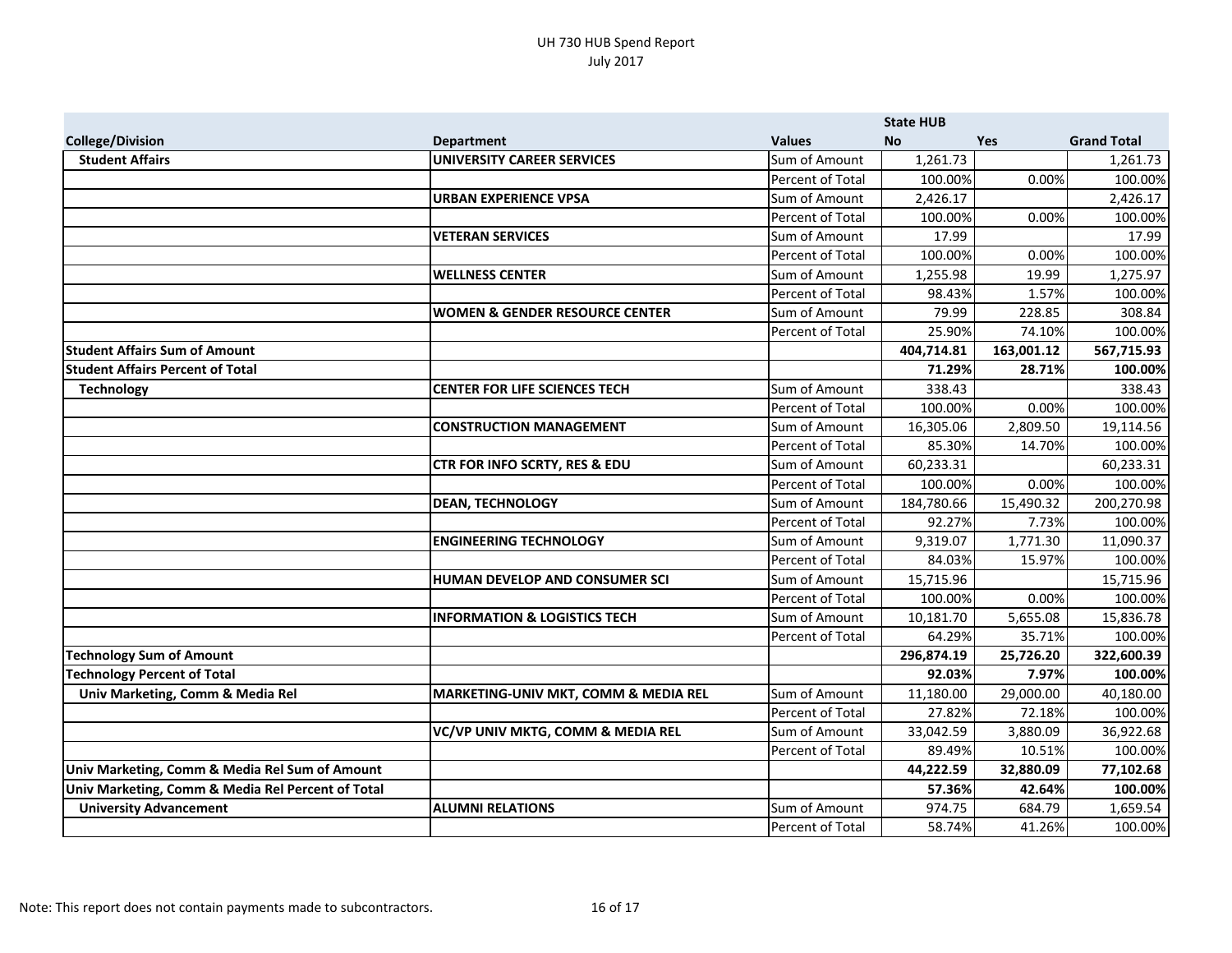|                                                   |                                           |                  | <b>State HUB</b> |            |                    |
|---------------------------------------------------|-------------------------------------------|------------------|------------------|------------|--------------------|
| <b>College/Division</b>                           | <b>Department</b>                         | <b>Values</b>    | <b>No</b>        | Yes        | <b>Grand Total</b> |
| <b>Student Affairs</b>                            | <b>UNIVERSITY CAREER SERVICES</b>         | Sum of Amount    | 1,261.73         |            | 1,261.73           |
|                                                   |                                           | Percent of Total | 100.00%          | 0.00%      | 100.00%            |
|                                                   | <b>URBAN EXPERIENCE VPSA</b>              | Sum of Amount    | 2,426.17         |            | 2,426.17           |
|                                                   |                                           | Percent of Total | 100.00%          | 0.00%      | 100.00%            |
|                                                   | <b>VETERAN SERVICES</b>                   | Sum of Amount    | 17.99            |            | 17.99              |
|                                                   |                                           | Percent of Total | 100.00%          | 0.00%      | 100.00%            |
|                                                   | <b>WELLNESS CENTER</b>                    | Sum of Amount    | 1,255.98         | 19.99      | 1,275.97           |
|                                                   |                                           | Percent of Total | 98.43%           | 1.57%      | 100.00%            |
|                                                   | <b>WOMEN &amp; GENDER RESOURCE CENTER</b> | Sum of Amount    | 79.99            | 228.85     | 308.84             |
|                                                   |                                           | Percent of Total | 25.90%           | 74.10%     | 100.00%            |
| <b>Student Affairs Sum of Amount</b>              |                                           |                  | 404,714.81       | 163,001.12 | 567,715.93         |
| <b>Student Affairs Percent of Total</b>           |                                           |                  | 71.29%           | 28.71%     | 100.00%            |
| <b>Technology</b>                                 | <b>CENTER FOR LIFE SCIENCES TECH</b>      | Sum of Amount    | 338.43           |            | 338.43             |
|                                                   |                                           | Percent of Total | 100.00%          | 0.00%      | 100.00%            |
|                                                   | <b>CONSTRUCTION MANAGEMENT</b>            | Sum of Amount    | 16,305.06        | 2,809.50   | 19,114.56          |
|                                                   |                                           | Percent of Total | 85.30%           | 14.70%     | 100.00%            |
|                                                   | CTR FOR INFO SCRTY, RES & EDU             | Sum of Amount    | 60,233.31        |            | 60,233.31          |
|                                                   |                                           | Percent of Total | 100.00%          | 0.00%      | 100.00%            |
|                                                   | <b>DEAN, TECHNOLOGY</b>                   | Sum of Amount    | 184,780.66       | 15,490.32  | 200,270.98         |
|                                                   |                                           | Percent of Total | 92.27%           | 7.73%      | 100.00%            |
|                                                   | <b>ENGINEERING TECHNOLOGY</b>             | Sum of Amount    | 9,319.07         | 1,771.30   | 11,090.37          |
|                                                   |                                           | Percent of Total | 84.03%           | 15.97%     | 100.00%            |
|                                                   | HUMAN DEVELOP AND CONSUMER SCI            | Sum of Amount    | 15,715.96        |            | 15,715.96          |
|                                                   |                                           | Percent of Total | 100.00%          | 0.00%      | 100.00%            |
|                                                   | <b>INFORMATION &amp; LOGISTICS TECH</b>   | Sum of Amount    | 10,181.70        | 5,655.08   | 15,836.78          |
|                                                   |                                           | Percent of Total | 64.29%           | 35.71%     | 100.00%            |
| <b>Technology Sum of Amount</b>                   |                                           |                  | 296,874.19       | 25,726.20  | 322,600.39         |
| <b>Technology Percent of Total</b>                |                                           |                  | 92.03%           | 7.97%      | 100.00%            |
| Univ Marketing, Comm & Media Rel                  | MARKETING-UNIV MKT, COMM & MEDIA REL      | Sum of Amount    | 11,180.00        | 29,000.00  | 40,180.00          |
|                                                   |                                           | Percent of Total | 27.82%           | 72.18%     | 100.00%            |
|                                                   | VC/VP UNIV MKTG, COMM & MEDIA REL         | Sum of Amount    | 33,042.59        | 3,880.09   | 36,922.68          |
|                                                   |                                           | Percent of Total | 89.49%           | 10.51%     | 100.00%            |
| Univ Marketing, Comm & Media Rel Sum of Amount    |                                           |                  | 44,222.59        | 32,880.09  | 77,102.68          |
| Univ Marketing, Comm & Media Rel Percent of Total |                                           |                  | 57.36%           | 42.64%     | 100.00%            |
| <b>University Advancement</b>                     | <b>ALUMNI RELATIONS</b>                   | Sum of Amount    | 974.75           | 684.79     | 1,659.54           |
|                                                   |                                           | Percent of Total | 58.74%           | 41.26%     | 100.00%            |